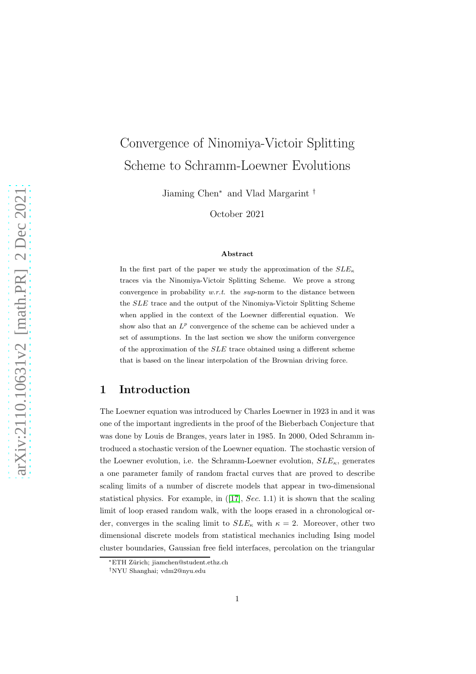# Convergence of Ninomiya-Victoir Splitting Scheme to Schramm-Loewner Evolutions

Jiaming Chen<sup>∗</sup> and Vlad Margarint †

October 2021

#### Abstract

In the first part of the paper we study the approximation of the  $SLE<sub>\kappa</sub>$ traces via the Ninomiya-Victoir Splitting Scheme. We prove a strong convergence in probability  $w.r.t.$  the sup-norm to the distance between the SLE trace and the output of the Ninomiya-Victoir Splitting Scheme when applied in the context of the Loewner differential equation. We show also that an  $L^p$  convergence of the scheme can be achieved under a set of assumptions. In the last section we show the uniform convergence of the approximation of the SLE trace obtained using a different scheme that is based on the linear interpolation of the Brownian driving force.

# 1 Introduction

The Loewner equation was introduced by Charles Loewner in 1923 in and it was one of the important ingredients in the proof of the Bieberbach Conjecture that was done by Louis de Branges, years later in 1985. In 2000, Oded Schramm introduced a stochastic version of the Loewner equation. The stochastic version of the Loewner evolution, i.e. the Schramm-Loewner evolution,  $SLE_{\kappa}$ , generates a one parameter family of random fractal curves that are proved to describe scaling limits of a number of discrete models that appear in two-dimensional statisticalphysics. For example, in  $(17)$ , Sec. 1.1) it is shown that the scaling limit of loop erased random walk, with the loops erased in a chronological order, converges in the scaling limit to  $SLE_{\kappa}$  with  $\kappa = 2$ . Moreover, other two dimensional discrete models from statistical mechanics including Ising model cluster boundaries, Gaussian free field interfaces, percolation on the triangular

<sup>∗</sup>ETH Z¨urich; jiamchen@student.ethz.ch

<sup>†</sup>NYU Shanghai; vdm2@nyu.edu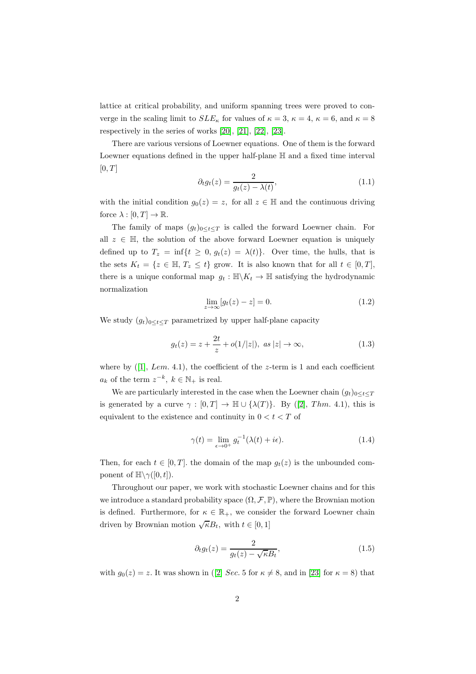lattice at critical probability, and uniform spanning trees were proved to converge in the scaling limit to  $SLE_{\kappa}$  for values of  $\kappa = 3$ ,  $\kappa = 4$ ,  $\kappa = 6$ , and  $\kappa = 8$ respectively in the series of works [\[20\]](#page-25-0), [\[21\]](#page-25-1), [\[22\]](#page-25-2), [\[23\]](#page-25-3).

There are various versions of Loewner equations. One of them is the forward Loewner equations defined in the upper half-plane H and a fixed time interval  $[0, T]$ 

$$
\partial_t g_t(z) = \frac{2}{g_t(z) - \lambda(t)},\tag{1.1}
$$

with the initial condition  $g_0(z) = z$ , for all  $z \in \mathbb{H}$  and the continuous driving force  $\lambda : [0, T] \to \mathbb{R}$ .

The family of maps  $(g_t)_{0 \leq t \leq T}$  is called the forward Loewner chain. For all  $z \in \mathbb{H}$ , the solution of the above forward Loewner equation is uniquely defined up to  $T_z = \inf\{t \geq 0, g_t(z) = \lambda(t)\}\$ . Over time, the hulls, that is the sets  $K_t = \{z \in \mathbb{H}, T_z \le t\}$  grow. It is also known that for all  $t \in [0, T]$ , there is a unique conformal map  $g_t : \mathbb{H} \backslash K_t \to \mathbb{H}$  satisfying the hydrodynamic normalization

$$
\lim_{z \to \infty} [g_t(z) - z] = 0. \tag{1.2}
$$

We study  $(g_t)_{0 \leq t \leq T}$  parametrized by upper half-plane capacity

$$
g_t(z) = z + \frac{2t}{z} + o(1/|z|), \ \text{as } |z| \to \infty,
$$
 (1.3)

whereby  $(1, Lem. 4.1)$ , the coefficient of the z-term is 1 and each coefficient  $a_k$  of the term  $z^{-k}$ ,  $k \in \mathbb{N}_+$  is real.

We are particularly interested in the case when the Loewner chain  $(g_t)_{0 \leq t \leq T}$ isgenerated by a curve  $\gamma : [0, T] \to \mathbb{H} \cup {\lambda(T)}$ . By ([\[2\]](#page-24-2), Thm. 4.1), this is equivalent to the existence and continuity in  $0 < t < T$  of

$$
\gamma(t) = \lim_{\epsilon \to 0^+} g_t^{-1}(\lambda(t) + i\epsilon).
$$
\n(1.4)

Then, for each  $t \in [0, T]$ . the domain of the map  $g_t(z)$  is the unbounded component of  $\mathbb{H}\setminus \gamma([0,t])$ .

Throughout our paper, we work with stochastic Loewner chains and for this we introduce a standard probability space  $(\Omega, \mathcal{F}, \mathbb{P})$ , where the Brownian motion is defined. Furthermore, for  $\kappa \in \mathbb{R}_+$ , we consider the forward Loewner chain driven by Brownian motion  $\sqrt{\kappa}B_t$ , with  $t \in [0,1]$ 

$$
\partial_t g_t(z) = \frac{2}{g_t(z) - \sqrt{\kappa} B_t},\tag{1.5}
$$

with $g_0(z) = z$ . It was shown in ([\[2\]](#page-24-2) Sec. 5 for  $\kappa \neq 8$ , and in [\[23\]](#page-25-3) for  $\kappa = 8$ ) that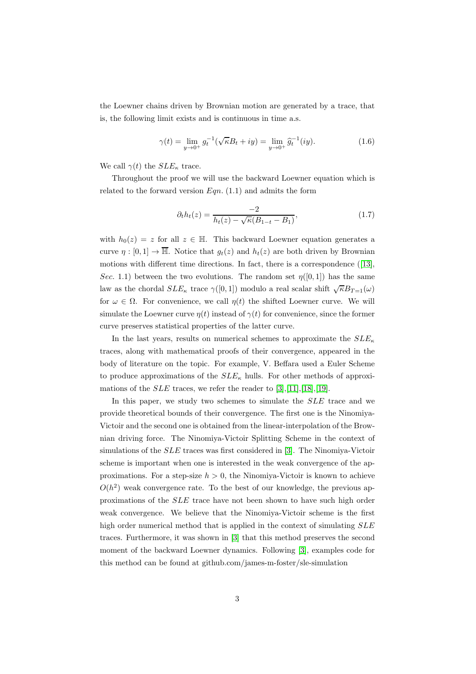the Loewner chains driven by Brownian motion are generated by a trace, that is, the following limit exists and is continuous in time a.s.

$$
\gamma(t) = \lim_{y \to 0^+} g_t^{-1}(\sqrt{\kappa}B_t + iy) = \lim_{y \to 0^+} \hat{g}_t^{-1}(iy). \tag{1.6}
$$

We call  $\gamma(t)$  the  $SLE_{\kappa}$  trace.

Throughout the proof we will use the backward Loewner equation which is related to the forward version  $Ean$ . (1.1) and admits the form

$$
\partial_t h_t(z) = \frac{-2}{h_t(z) - \sqrt{\kappa} (B_{1-t} - B_1)},\tag{1.7}
$$

with  $h_0(z) = z$  for all  $z \in \mathbb{H}$ . This backward Loewner equation generates a curve  $\eta : [0, 1] \to \overline{\mathbb{H}}$ . Notice that  $g_t(z)$  and  $h_t(z)$  are both driven by Brownian motionswith different time directions. In fact, there is a correspondence ([\[13\]](#page-24-3), Sec. 1.1) between the two evolutions. The random set  $\eta([0,1])$  has the same law as the chordal  $SLE_{\kappa}$  trace  $\gamma([0,1])$  modulo a real scalar shift  $\sqrt{\kappa}B_{T=1}(\omega)$ for  $\omega \in \Omega$ . For convenience, we call  $\eta(t)$  the shifted Loewner curve. We will simulate the Loewner curve  $\eta(t)$  instead of  $\gamma(t)$  for convenience, since the former curve preserves statistical properties of the latter curve.

In the last years, results on numerical schemes to approximate the  $SLE_{\kappa}$ traces, along with mathematical proofs of their convergence, appeared in the body of literature on the topic. For example, V. Beffara used a Euler Scheme to produce approximations of the  $SLE_{\kappa}$  hulls. For other methods of approximations of the *SLE* traces, we refer the reader to  $[3], [11], [18], [19].$  $[3], [11], [18], [19].$  $[3], [11], [18], [19].$  $[3], [11], [18], [19].$  $[3], [11], [18], [19].$  $[3], [11], [18], [19].$  $[3], [11], [18], [19].$ 

In this paper, we study two schemes to simulate the SLE trace and we provide theoretical bounds of their convergence. The first one is the Ninomiya-Victoir and the second one is obtained from the linear-interpolation of the Brownian driving force. The Ninomiya-Victoir Splitting Scheme in the context of simulations of the  $SLE$  traces was first considered in [\[3\]](#page-24-4). The Ninomiya-Victoir scheme is important when one is interested in the weak convergence of the approximations. For a step-size  $h > 0$ , the Ninomiya-Victoir is known to achieve  $O(h^2)$  weak convergence rate. To the best of our knowledge, the previous approximations of the SLE trace have not been shown to have such high order weak convergence. We believe that the Ninomiya-Victoir scheme is the first high order numerical method that is applied in the context of simulating  $SLE$ traces. Furthermore, it was shown in [\[3\]](#page-24-4) that this method preserves the second moment of the backward Loewner dynamics. Following [\[3\]](#page-24-4), examples code for this method can be found at github.com/james-m-foster/sle-simulation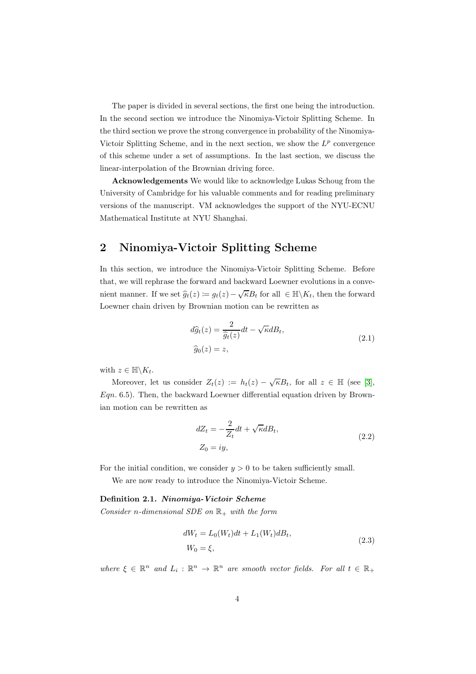The paper is divided in several sections, the first one being the introduction. In the second section we introduce the Ninomiya-Victoir Splitting Scheme. In the third section we prove the strong convergence in probability of the Ninomiya-Victoir Splitting Scheme, and in the next section, we show the  $L^p$  convergence of this scheme under a set of assumptions. In the last section, we discuss the linear-interpolation of the Brownian driving force.

Acknowledgements We would like to acknowledge Lukas Schoug from the University of Cambridge for his valuable comments and for reading preliminary versions of the manuscript. VM acknowledges the support of the NYU-ECNU Mathematical Institute at NYU Shanghai.

# 2 Ninomiya-Victoir Splitting Scheme

In this section, we introduce the Ninomiya-Victoir Splitting Scheme. Before that, we will rephrase the forward and backward Loewner evolutions in a convenient manner. If we set  $\hat{g}_t(z) := g_t(z) - \sqrt{\kappa} B_t$  for all  $\in \mathbb{H} \backslash K_t$ , then the forward Loewner chain driven by Brownian motion can be rewritten as

$$
d\hat{g}_t(z) = \frac{2}{\hat{g}_t(z)}dt - \sqrt{\kappa}dB_t,
$$
  

$$
\hat{g}_0(z) = z,
$$
 (2.1)

with  $z \in \mathbb{H} \backslash K_t$ .

Moreover, let us consider  $Z_t(z) := h_t(z) - \sqrt{\kappa} B_t$ , for all  $z \in \mathbb{H}$  (see [\[3\]](#page-24-4),  $Eqn. 6.5$ . Then, the backward Loewner differential equation driven by Brownian motion can be rewritten as

$$
dZ_t = -\frac{2}{Z_t}dt + \sqrt{\kappa}dB_t,
$$
  
\n
$$
Z_0 = iy,
$$
\n(2.2)

For the initial condition, we consider  $y > 0$  to be taken sufficiently small.

We are now ready to introduce the Ninomiya-Victoir Scheme.

#### Definition 2.1. Ninomiya-Victoir Scheme

Consider n-dimensional SDE on  $\mathbb{R}_+$  with the form

$$
dW_t = L_0(W_t)dt + L_1(W_t)dB_t,
$$
  
\n
$$
W_0 = \xi,
$$
\n(2.3)

where  $\xi \in \mathbb{R}^n$  and  $L_i : \mathbb{R}^n \to \mathbb{R}^n$  are smooth vector fields. For all  $t \in \mathbb{R}_+$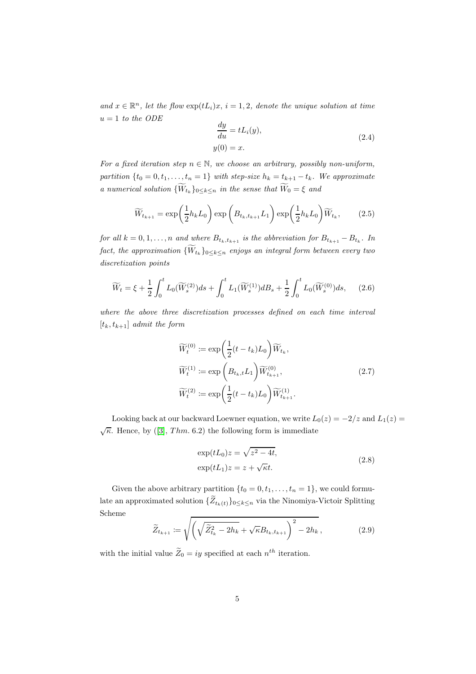and  $x \in \mathbb{R}^n$ , let the flow  $\exp(tL_i)x$ ,  $i = 1, 2$ , denote the unique solution at time  $u = 1$  to the ODE

$$
\frac{dy}{du} = tL_i(y),
$$
  
y(0) = x. (2.4)

For a fixed iteration step  $n \in \mathbb{N}$ , we choose an arbitrary, possibly non-uniform, partition  $\{t_0 = 0, t_1, \ldots, t_n = 1\}$  with step-size  $h_k = t_{k+1} - t_k$ . We approximate a numerical solution  $\{W_{t_k}\}_{0 \leq k \leq n}$  in the sense that  $W_0 = \xi$  and

$$
\widetilde{W}_{t_{k+1}} = \exp\left(\frac{1}{2}h_k L_0\right) \exp\left(B_{t_k, t_{k+1}} L_1\right) \exp\left(\frac{1}{2}h_k L_0\right) \widetilde{W}_{t_k},\tag{2.5}
$$

for all  $k = 0, 1, \ldots, n$  and where  $B_{t_k,t_{k+1}}$  is the abbreviation for  $B_{t_{k+1}} - B_{t_k}$ . In  $\textit{fact, the approximation} \ \{W_{t_k}\}_{0\leq k\leq n} \ \textit{enjoys} \ \textit{an integral form} \ \textit{between every two}$ discretization points

$$
\widetilde{W}_t = \xi + \frac{1}{2} \int_0^t L_0(\widetilde{W}_s^{(2)}) ds + \int_0^t L_1(\widetilde{W}_s^{(1)}) dB_s + \frac{1}{2} \int_0^t L_0(\widetilde{W}_s^{(0)}) ds, \tag{2.6}
$$

where the above three discretization processes defined on each time interval  $[t_k, t_{k+1}]$  admit the form

$$
\widetilde{W}_t^{(0)} := \exp\left(\frac{1}{2}(t - t_k)L_0\right) \widetilde{W}_{t_k},
$$
\n
$$
\widetilde{W}_t^{(1)} := \exp\left(B_{t_k, t} L_1\right) \widetilde{W}_{t_{k+1}}^{(0)},
$$
\n
$$
\widetilde{W}_t^{(2)} := \exp\left(\frac{1}{2}(t - t_k)L_0\right) \widetilde{W}_{t_{k+1}}^{(1)}.
$$
\n(2.7)

Looking back at our backward Loewner equation, we write  $L_0(z) = -2/z$  and  $L_1(z) =$  $\sqrt{\kappa}$ .Hence, by ([\[3\]](#page-24-4), Thm. 6.2) the following form is immediate

$$
\exp(tL_0)z = \sqrt{z^2 - 4t},
$$
  
\n
$$
\exp(tL_1)z = z + \sqrt{\kappa t}.
$$
\n(2.8)

Given the above arbitrary partition  $\{t_0 = 0, t_1, \ldots, t_n = 1\}$ , we could formulate an approximated solution  $\{Z_{t_k(t)}\}_{0 \leq k \leq n}$  via the Ninomiya-Victoir Splitting Scheme

$$
\widetilde{Z}_{t_{k+1}} := \sqrt{\left(\sqrt{\widetilde{Z}_{t_k}^2 - 2h_k} + \sqrt{\kappa} B_{t_k, t_{k+1}}\right)^2 - 2h_k},\tag{2.9}
$$

with the initial value  $\tilde{Z}_0 = iy$  specified at each  $n^{th}$  iteration.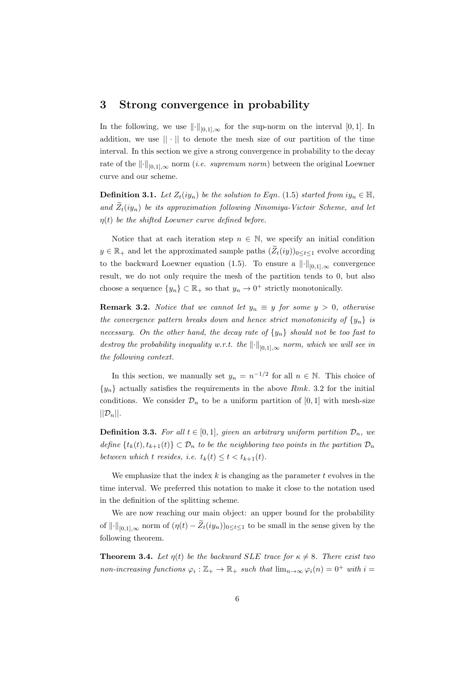## 3 Strong convergence in probability

In the following, we use  $\|\cdot\|_{[0,1],\infty}$  for the sup-norm on the interval [0,1]. In addition, we use  $|| \cdot ||$  to denote the mesh size of our partition of the time interval. In this section we give a strong convergence in probability to the decay rate of the  $\|\cdot\|_{[0,1],\infty}$  norm (*i.e. supremum norm*) between the original Loewner curve and our scheme.

**Definition 3.1.** Let  $Z_t(iy_n)$  be the solution to Eqn. (1.5) started from  $iy_n \in \mathbb{H}$ , and  $\widetilde{Z}_t(iy_n)$  be its approximation following Ninomiya-Victoir Scheme, and let  $\eta(t)$  be the shifted Loewner curve defined before.

Notice that at each iteration step  $n \in \mathbb{N}$ , we specify an initial condition  $y \in \mathbb{R}_+$  and let the approximated sample paths  $(\widetilde{Z}_t(iy))_{0 \leq t \leq 1}$  evolve according to the backward Loewner equation (1.5). To ensure a  $\|\cdot\|_{[0,1],\infty}$  convergence result, we do not only require the mesh of the partition tends to 0, but also choose a sequence  $\{y_n\} \subset \mathbb{R}_+$  so that  $y_n \to 0^+$  strictly monotonically.

**Remark 3.2.** Notice that we cannot let  $y_n \equiv y$  for some  $y > 0$ , otherwise the convergence pattern breaks down and hence strict monotonicity of  $\{y_n\}$  is necessary. On the other hand, the decay rate of  $\{y_n\}$  should not be too fast to destroy the probability inequality w.r.t. the  $\lVert \cdot \rVert_{[0,1],\infty}$  norm, which we will see in the following context.

In this section, we manually set  $y_n = n^{-1/2}$  for all  $n \in \mathbb{N}$ . This choice of  ${y_n}$  actually satisfies the requirements in the above Rmk. 3.2 for the initial conditions. We consider  $\mathcal{D}_n$  to be a uniform partition of [0, 1] with mesh-size  $||\mathcal{D}_n||.$ 

**Definition 3.3.** For all  $t \in [0, 1]$ , given an arbitrary uniform partition  $\mathcal{D}_n$ , we define  $\{t_k(t), t_{k+1}(t)\} \subset \mathcal{D}_n$  to be the neighboring two points in the partition  $\mathcal{D}_n$ between which t resides, i.e.  $t_k(t) \leq t < t_{k+1}(t)$ .

We emphasize that the index  $k$  is changing as the parameter  $t$  evolves in the time interval. We preferred this notation to make it close to the notation used in the definition of the splitting scheme.

We are now reaching our main object: an upper bound for the probability of  $\|\cdot\|_{[0,1],\infty}$  norm of  $(\eta(t) - \widetilde{Z}_t(iy_n))_{0 \leq t \leq 1}$  to be small in the sense given by the following theorem.

**Theorem 3.4.** Let  $\eta(t)$  be the backward SLE trace for  $\kappa \neq 8$ . There exist two non-increasing functions  $\varphi_i : \mathbb{Z}_+ \to \mathbb{R}_+$  such that  $\lim_{n \to \infty} \varphi_i(n) = 0^+$  with  $i =$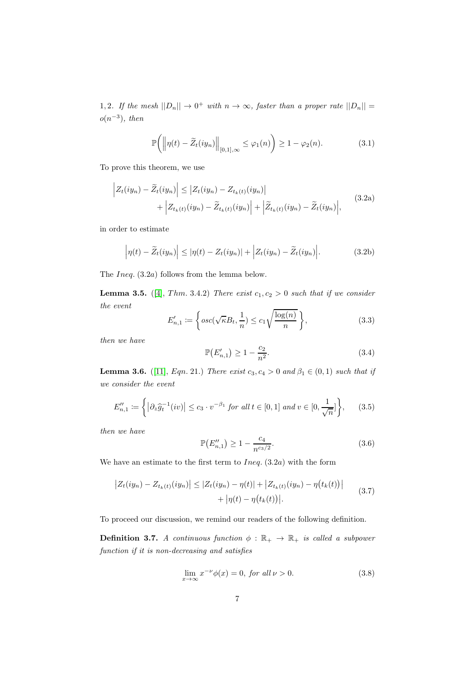1, 2. If the mesh  $||D_n|| \to 0^+$  with  $n \to \infty$ , faster than a proper rate  $||D_n|| =$  $o(n^{-3})$ , then

$$
\mathbb{P}\bigg(\bigg\|\eta(t)-\widetilde{Z}_t(iy_n)\bigg\|_{[0,1],\infty}\leq\varphi_1(n)\bigg)\geq 1-\varphi_2(n). \qquad (3.1)
$$

To prove this theorem, we use

$$
\left| Z_t(iy_n) - \widetilde{Z}_t(iy_n) \right| \le \left| Z_t(iy_n) - Z_{t_k(t)}(iy_n) \right|
$$
  
+ 
$$
\left| Z_{t_k(t)}(iy_n) - \widetilde{Z}_{t_k(t)}(iy_n) \right| + \left| \widetilde{Z}_{t_k(t)}(iy_n) - \widetilde{Z}_t(iy_n) \right|,
$$
(3.2a)

in order to estimate

$$
\left|\eta(t) - \widetilde{Z}_t(iy_n)\right| \leq |\eta(t) - Z_t(iy_n)| + \left|Z_t(iy_n) - \widetilde{Z}_t(iy_n)\right|.
$$
 (3.2b)

The *Ineq.* (3.2a) follows from the lemma below.

**Lemma 3.5.** ([\[4\]](#page-24-6), Thm. 3.4.2) There exist  $c_1, c_2 > 0$  such that if we consider the event

$$
E'_{n,1} := \left\{ osc(\sqrt{\kappa}B_t, \frac{1}{n}) \le c_1 \sqrt{\frac{\log(n)}{n}} \right\},\tag{3.3}
$$

then we have

$$
\mathbb{P}(E'_{n,1}) \ge 1 - \frac{c_2}{n^2}.\tag{3.4}
$$

**Lemma 3.6.** ([\[11\]](#page-24-5), Eqn. 21.) There exist  $c_3, c_4 > 0$  and  $\beta_1 \in (0,1)$  such that if we consider the event

$$
E_{n,1}^{\prime\prime} := \left\{ \left| \partial_z \widehat{g}_t^{-1}(iv) \right| \le c_3 \cdot v^{-\beta_1} \text{ for all } t \in [0,1] \text{ and } v \in [0,\frac{1}{\sqrt{n}}] \right\},\qquad(3.5)
$$

then we have

$$
\mathbb{P}(E_{n,1}^{"}) \ge 1 - \frac{c_4}{n^{c_3/2}}.\tag{3.6}
$$

We have an estimate to the first term to  $Ineq. (3.2a)$  with the form

$$
\left| Z_t(iy_n) - Z_{t_k(t)}(iy_n) \right| \leq \left| Z_t(iy_n) - \eta(t) \right| + \left| Z_{t_k(t)}(iy_n) - \eta(t_k(t)) \right| + \left| \eta(t) - \eta(t_k(t)) \right|.
$$
\n(3.7)

To proceed our discussion, we remind our readers of the following definition.

**Definition 3.7.** A continuous function  $\phi : \mathbb{R}_+ \to \mathbb{R}_+$  is called a subpower function if it is non-decreasing and satisfies

$$
\lim_{x \to \infty} x^{-\nu} \phi(x) = 0, \text{ for all } \nu > 0.
$$
 (3.8)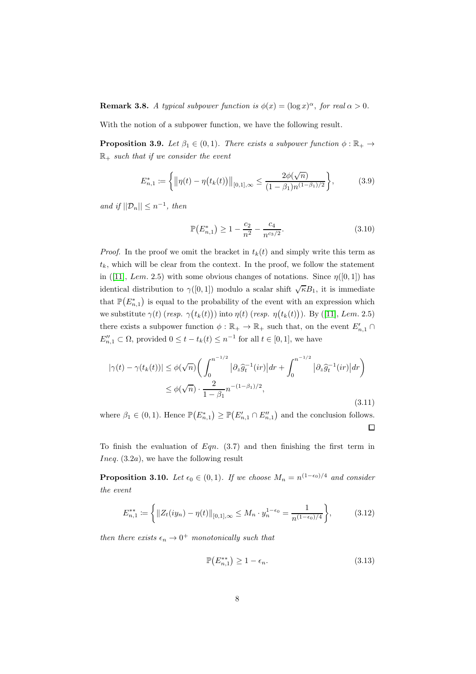**Remark 3.8.** A typical subpower function is  $\phi(x) = (\log x)^{\alpha}$ , for real  $\alpha > 0$ .

With the notion of a subpower function, we have the following result.

**Proposition 3.9.** Let  $\beta_1 \in (0,1)$ . There exists a subpower function  $\phi : \mathbb{R}_+ \to$  $\mathbb{R}_+$  such that if we consider the event

$$
E_{n,1}^* := \left\{ \left\| \eta(t) - \eta\big(t_k(t)\big) \right\|_{[0,1],\infty} \le \frac{2\phi(\sqrt{n})}{(1-\beta_1)n^{(1-\beta_1)/2}} \right\},\tag{3.9}
$$

and if  $||\mathcal{D}_n|| \leq n^{-1}$ , then

$$
\mathbb{P}(E_{n,1}^*) \ge 1 - \frac{c_2}{n^2} - \frac{c_4}{n^{c_3/2}}.\tag{3.10}
$$

*Proof.* In the proof we omit the bracket in  $t_k(t)$  and simply write this term as  $t_k$ , which will be clear from the context. In the proof, we follow the statement in([\[11\]](#page-24-5), Lem. 2.5) with some obvious changes of notations. Since  $\eta([0,1])$  has identical distribution to  $\gamma([0,1])$  modulo a scalar shift  $\sqrt{\kappa}B_1$ , it is immediate that  $\mathbb{P}(E_{n,1}^*)$  is equal to the probability of the event with an expression which wesubstitute  $\gamma(t)$  (resp.  $\gamma(t_k(t))$ ) into  $\eta(t)$  (resp.  $\eta(t_k(t))$ ). By ([\[11\]](#page-24-5), Lem. 2.5) there exists a subpower function  $\phi : \mathbb{R}_+ \to \mathbb{R}_+$  such that, on the event  $E'_{n,1} \cap$  $E''_{n,1} \subset \Omega$ , provided  $0 \le t - t_k(t) \le n^{-1}$  for all  $t \in [0,1]$ , we have

$$
|\gamma(t) - \gamma(t_k(t))| \leq \phi(\sqrt{n}) \left( \int_0^{n^{-1/2}} |\partial_z \hat{g}_t^{-1}(ir)| dr + \int_0^{n^{-1/2}} |\partial_z \hat{g}_t^{-1}(ir)| dr \right) \leq \phi(\sqrt{n}) \cdot \frac{2}{1 - \beta_1} n^{-(1 - \beta_1)/2},
$$
\n(3.11)

where  $\beta_1 \in (0,1)$ . Hence  $\mathbb{P}(E_{n,1}^*) \geq \mathbb{P}(E_{n,1}' \cap E_{n,1}'')$  and the conclusion follows.  $\Box$ 

To finish the evaluation of  $Eqn. (3.7)$  and then finishing the first term in *Ineq.*  $(3.2a)$ , we have the following result

**Proposition 3.10.** Let  $\epsilon_0 \in (0,1)$ . If we choose  $M_n = n^{(1-\epsilon_0)/4}$  and consider the event

$$
E_{n,1}^{**} := \left\{ \|Z_t(iy_n) - \eta(t)\|_{[0,1],\infty} \le M_n \cdot y_n^{1-\epsilon_0} = \frac{1}{n^{(1-\epsilon_0)/4}} \right\},\tag{3.12}
$$

then there exists  $\epsilon_n \to 0^+$  monotonically such that

$$
\mathbb{P}(E_{n,1}^{**}) \ge 1 - \epsilon_n. \tag{3.13}
$$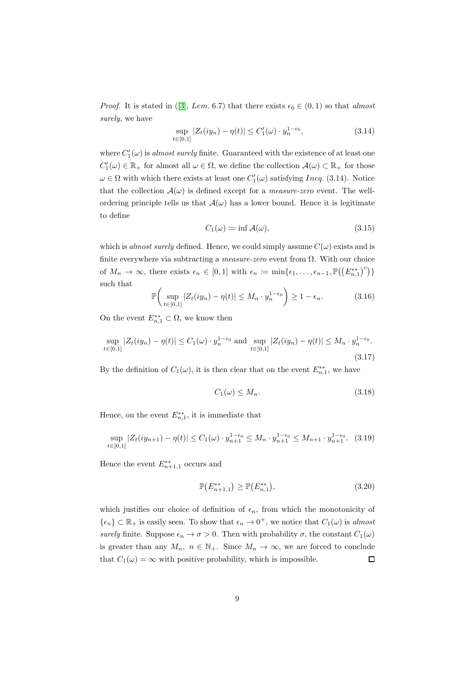*Proof.*It is stated in ([\[3\]](#page-24-4), Lem. 6.7) that there exists  $\epsilon_0 \in (0,1)$  so that almost surely, we have

$$
\sup_{t \in [0,1]} |Z_t(iy_n) - \eta(t)| \le C'_1(\omega) \cdot y_n^{1-\epsilon_0},\tag{3.14}
$$

where  $C_1'(\omega)$  is *almost surely* finite. Guaranteed with the existence of at least one  $C'_1(\omega) \in \mathbb{R}_+$  for almost all  $\omega \in \Omega$ , we define the collection  $\mathcal{A}(\omega) \subset \mathbb{R}_+$  for those  $\omega \in \Omega$  with which there exists at least one  $C'_{1}(\omega)$  satisfying *Ineq.* (3.14). Notice that the collection  $\mathcal{A}(\omega)$  is defined except for a *measure-zero* event. The wellordering principle tells us that  $\mathcal{A}(\omega)$  has a lower bound. Hence it is legitimate to define

$$
C_1(\omega) := \inf \mathcal{A}(\omega), \tag{3.15}
$$

which is almost surely defined. Hence, we could simply assume  $C(\omega)$  exists and is finite everywhere via subtracting a *measure-zero* event from  $\Omega$ . With our choice of  $M_n \to \infty$ , there exists  $\epsilon_n \in [0,1]$  with  $\epsilon_n := \min{\{\epsilon_1, \ldots, \epsilon_{n-1}, \mathbb{P}((E_{n,1}^{**})^c)\}}$ such that

$$
\mathbb{P}\bigg(\sup_{t\in[0,1]}|Z_t(iy_n)-\eta(t)|\leq M_n\cdot y_n^{1-\epsilon_0}\bigg)\geq 1-\epsilon_n.\tag{3.16}
$$

On the event  $E_{n,1}^{**} \subset \Omega$ , we know then

$$
\sup_{t \in [0,1]} |Z_t(iy_n) - \eta(t)| \le C_1(\omega) \cdot y_n^{1-\epsilon_0} \text{ and } \sup_{t \in [0,1]} |Z_t(iy_n) - \eta(t)| \le M_n \cdot y_n^{1-\epsilon_0}.
$$
\n(3.17)

By the definition of  $C_1(\omega)$ , it is then clear that on the event  $E^{**}_{n,1}$ , we have

$$
C_1(\omega) \le M_n. \tag{3.18}
$$

Hence, on the event  $E_{n,1}^{**}$ , it is immediate that

$$
\sup_{t \in [0,1]} |Z_t(iy_{n+1}) - \eta(t)| \le C_1(\omega) \cdot y_{n+1}^{1-\epsilon_0} \le M_n \cdot y_{n+1}^{1-\epsilon_0} \le M_{n+1} \cdot y_{n+1}^{1-\epsilon_0}.
$$
 (3.19)

Hence the event  $E_{n+1,1}^{**}$  occurs and

$$
\mathbb{P}(E_{n+1,1}^{**}) \ge \mathbb{P}(E_{n,1}^{**}),\tag{3.20}
$$

which justifies our choice of definition of  $\epsilon_n$ , from which the monotonicity of  $\{\epsilon_n\} \subset \mathbb{R}_+$  is easily seen. To show that  $\epsilon_n \to 0^+$ , we notice that  $C_1(\omega)$  is almost surely finite. Suppose  $\epsilon_n \to \sigma > 0$ . Then with probability  $\sigma$ , the constant  $C_1(\omega)$ is greater than any  $M_n$ ,  $n \in \mathbb{N}_+$ . Since  $M_n \to \infty$ , we are forced to conclude that  $C_1(\omega) = \infty$  with positive probability, which is impossible.  $\Box$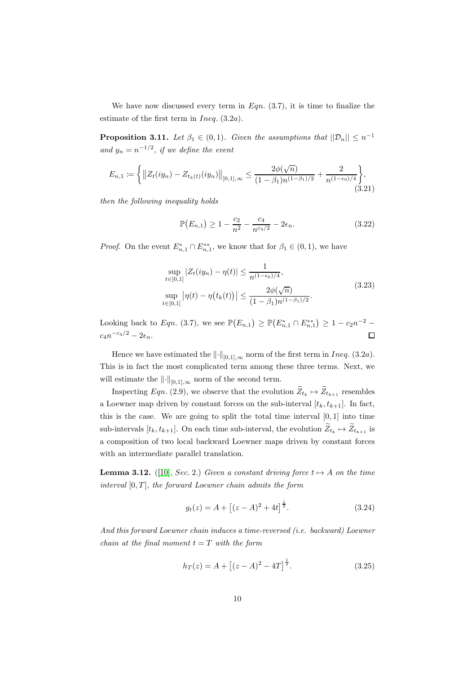We have now discussed every term in  $Eqn. (3.7)$ , it is time to finalize the estimate of the first term in  $Ineq. (3.2a)$ .

**Proposition 3.11.** Let  $\beta_1 \in (0,1)$ . Given the assumptions that  $||\mathcal{D}_n|| \leq n^{-1}$ and  $y_n = n^{-1/2}$ , if we define the event

$$
E_{n,1} := \left\{ \left\| Z_t(iy_n) - Z_{t_k(t)}(iy_n) \right\|_{[0,1],\infty} \le \frac{2\phi(\sqrt{n})}{(1-\beta_1)n^{(1-\beta_1)/2}} + \frac{2}{n^{(1-\epsilon_0)/4}} \right\},\tag{3.21}
$$

then the following inequality holds

$$
\mathbb{P}(E_{n,1}) \ge 1 - \frac{c_2}{n^2} - \frac{c_4}{n^{c_3/2}} - 2\epsilon_n.
$$
 (3.22)

*Proof.* On the event  $E_{n,1}^* \cap E_{n,1}^{**}$ , we know that for  $\beta_1 \in (0,1)$ , we have

$$
\sup_{t \in [0,1]} |Z_t(iy_n) - \eta(t)| \le \frac{1}{n^{(1-\epsilon_0)/4}},
$$
  
\n
$$
\sup_{t \in [0,1]} |\eta(t) - \eta(t_k(t))| \le \frac{2\phi(\sqrt{n})}{(1-\beta_1)n^{(1-\beta_1)/2}}.
$$
\n(3.23)

Looking back to Eqn. (3.7), we see  $\mathbb{P}(E_{n,1}) \geq \mathbb{P}(E_{n,1}^* \cap E_{n,1}^{**}) \geq 1 - c_2 n^{-2}$  $c_4 n^{-c_3/2} - 2\epsilon_n$ .  $\Box$ 

Hence we have estimated the  $\|\cdot\|_{[0,1],\infty}$  norm of the first term in Ineq. (3.2a). This is in fact the most complicated term among these three terms. Next, we will estimate the  $\lVert \cdot \rVert_{[0,1],\infty}$  norm of the second term.

Inspecting Eqn. (2.9), we observe that the evolution  $Z_{t_k} \mapsto Z_{t_{k+1}}$  resembles a Loewner map driven by constant forces on the sub-interval  $[t_k, t_{k+1}]$ . In fact, this is the case. We are going to split the total time interval  $[0, 1]$  into time sub-intervals  $[t_k, t_{k+1}]$ . On each time sub-interval, the evolution  $Z_{t_k} \mapsto Z_{t_{k+1}}$  is a composition of two local backward Loewner maps driven by constant forces with an intermediate parallel translation.

**Lemma 3.12.** ([\[10\]](#page-24-7), Sec. 2.) Given a constant driving force  $t \mapsto A$  on the time interval  $[0, T]$ , the forward Loewner chain admits the form

$$
g_t(z) = A + [(z - A)^2 + 4t]^{\frac{1}{2}}.
$$
 (3.24)

And this forward Loewner chain induces a time-reversed (i.e. backward) Loewner chain at the final moment  $t = T$  with the form

$$
h_T(z) = A + [(z - A)^2 - 4T]^{\frac{1}{2}}.
$$
\n(3.25)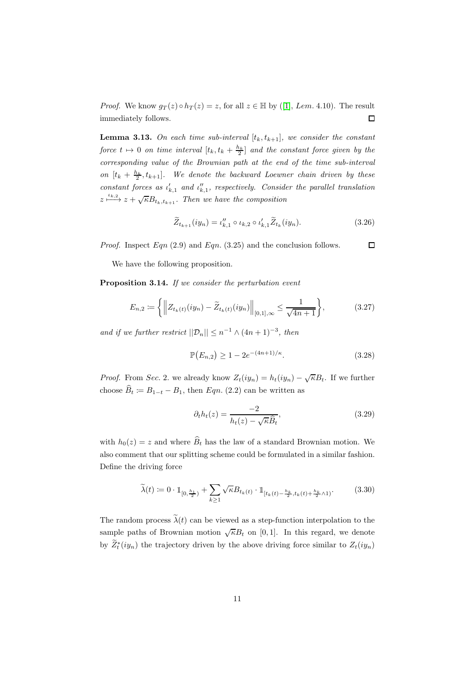*Proof.*We know  $g_T(z) \circ h_T(z) = z$ , for all  $z \in \mathbb{H}$  by ([\[1\]](#page-24-1), *Lem.* 4.10). The result immediately follows.  $\Box$ 

**Lemma 3.13.** On each time sub-interval  $[t_k, t_{k+1}]$ , we consider the constant force  $t \mapsto 0$  on time interval  $[t_k, t_k + \frac{h_k}{2}]$  and the constant force given by the corresponding value of the Brownian path at the end of the time sub-interval on  $[t_k + \frac{h_k}{2}, t_{k+1}]$ . We denote the backward Loewner chain driven by these constant forces as  $\iota'_{k,1}$  and  $\iota''_{k,1}$ , respectively. Consider the parallel translation  $z \xrightarrow{\iota_{k,2}} z + \sqrt{\kappa} B_{t_k,t_{k+1}}$ . Then we have the composition

$$
\widetilde{Z}_{t_{k+1}}(iy_n) = \iota_{k,1}'' \circ \iota_{k,2} \circ \iota_{k,1}' \widetilde{Z}_{t_k}(iy_n). \tag{3.26}
$$

*Proof.* Inspect  $Eqn (2.9)$  and  $Eqn (3.25)$  and the conclusion follows.  $\Box$ 

We have the following proposition.

Proposition 3.14. If we consider the perturbation event

$$
E_{n,2} := \left\{ \left\| Z_{t_k(t)}(iy_n) - \widetilde{Z}_{t_k(t)}(iy_n) \right\|_{[0,1],\infty} \le \frac{1}{\sqrt{4n+1}} \right\},\tag{3.27}
$$

and if we further restrict  $||\mathcal{D}_n|| \leq n^{-1} \wedge (4n+1)^{-3}$ , then

$$
\mathbb{P}(E_{n,2}) \ge 1 - 2e^{-(4n+1)/\kappa}.
$$
\n(3.28)

*Proof.* From Sec. 2. we already know  $Z_t(iy_n) = h_t(iy_n) - \sqrt{\kappa}B_t$ . If we further choose  $B_t \coloneqq B_{1-t} - B_1$ , then  $Eqn. (2.2)$  can be written as

$$
\partial_t h_t(z) = \frac{-2}{h_t(z) - \sqrt{\kappa} \widehat{B}_t},\tag{3.29}
$$

with  $h_0(z) = z$  and where  $\widehat{B}_t$  has the law of a standard Brownian motion. We also comment that our splitting scheme could be formulated in a similar fashion. Define the driving force

$$
\widetilde{\lambda}(t) := 0 \cdot \mathbb{1}_{[0, \frac{h_1}{2})} + \sum_{k \ge 1} \sqrt{\kappa} B_{t_k(t)} \cdot \mathbb{1}_{[t_k(t) - \frac{h_k}{2}, t_k(t) + \frac{h_k}{2} \wedge 1)}.
$$
(3.30)

The random process  $\tilde{\lambda}(t)$  can be viewed as a step-function interpolation to the sample paths of Brownian motion  $\sqrt{\kappa}B_t$  on [0,1]. In this regard, we denote by  $Z_t^*(iy_n)$  the trajectory driven by the above driving force similar to  $Z_t(iy_n)$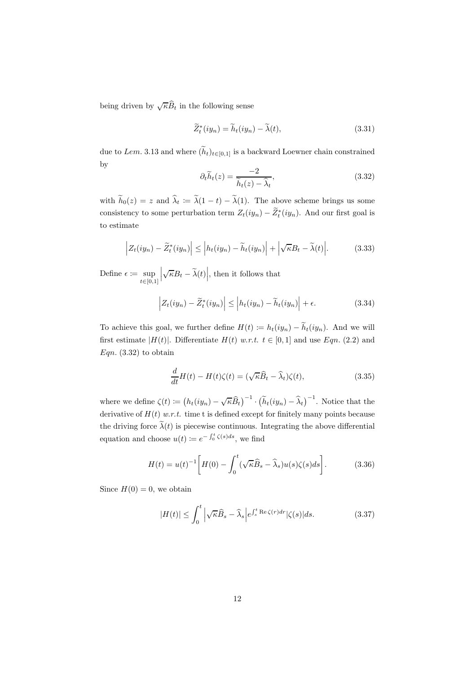being driven by  $\sqrt{\kappa}\widehat{B}_t$  in the following sense

$$
\widetilde{Z}_t^*(iy_n) = \widetilde{h}_t(iy_n) - \widetilde{\lambda}(t),\tag{3.31}
$$

due to Lem. 3.13 and where  $(\widetilde{h}_t)_{t\in[0,1]}$  is a backward Loewner chain constrained by

$$
\partial_t \widetilde{h}_t(z) = \frac{-2}{\widetilde{h}_t(z) - \widehat{\lambda}_t},\tag{3.32}
$$

with  $h_0(z) = z$  and  $\lambda_t := \lambda(1 - t) - \lambda(1)$ . The above scheme brings us some consistency to some perturbation term  $Z_t(iy_n) - Z_t^*(iy_n)$ . And our first goal is to estimate

$$
\left| Z_t(iy_n) - \widetilde{Z}_t^*(iy_n) \right| \le \left| h_t(iy_n) - \widetilde{h}_t(iy_n) \right| + \left| \sqrt{\kappa} B_t - \widetilde{\lambda}(t) \right|.
$$
 (3.33)

Define  $\epsilon \coloneqq \sup$  $t \in [0,1]$   $\sqrt{\kappa}B_t - \widetilde{\lambda}(t)$ , then it follows that

$$
\left| Z_t(iy_n) - \widetilde{Z}_t^*(iy_n) \right| \le \left| h_t(iy_n) - \widetilde{h}_t(iy_n) \right| + \epsilon.
$$
 (3.34)

To achieve this goal, we further define  $H(t) := h_t(iy_n) - \widetilde{h}_t(iy_n)$ . And we will first estimate  $|H(t)|$ . Differentiate  $H(t)$  w.r.t.  $t \in [0,1]$  and use Eqn. (2.2) and  $Eqn. (3.32)$  to obtain

$$
\frac{d}{dt}H(t) - H(t)\zeta(t) = (\sqrt{\kappa}\widehat{B}_t - \widehat{\lambda}_t)\zeta(t),\tag{3.35}
$$

where we define  $\zeta(t) \coloneqq (h_t(iy_n) - \sqrt{\kappa}\widehat{B}_t)^{-1} \cdot (\widetilde{h}_t(iy_n) - \widehat{\lambda}_t)^{-1}$ . Notice that the derivative of  $H(t)$  w.r.t. time t is defined except for finitely many points because the driving force  $\tilde{\lambda}(t)$  is piecewise continuous. Integrating the above differential equation and choose  $u(t) \coloneqq e^{-\int_0^t \zeta(s)ds}$ , we find

$$
H(t) = u(t)^{-1} \left[ H(0) - \int_0^t (\sqrt{\kappa} \widehat{B}_s - \widehat{\lambda}_s) u(s) \zeta(s) ds \right].
$$
 (3.36)

Since  $H(0) = 0$ , we obtain

$$
|H(t)| \leq \int_0^t \left| \sqrt{\kappa} \widehat{B}_s - \widehat{\lambda}_s \right| e^{\int_s^t \text{Re}\,\zeta(r)dr} |\zeta(s)| ds. \tag{3.37}
$$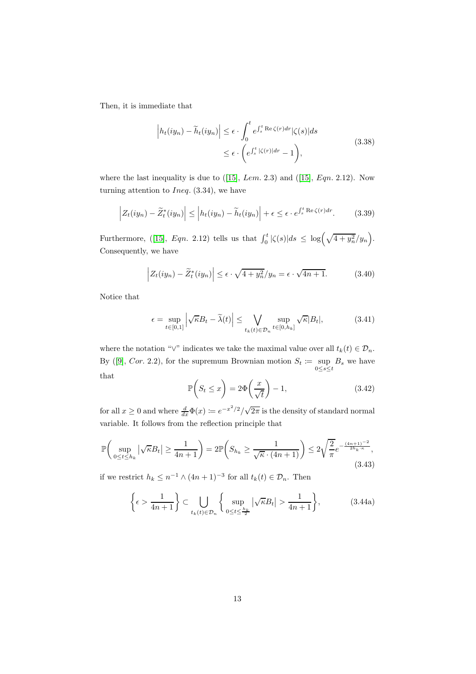Then, it is immediate that

$$
\left| h_t(iy_n) - \widetilde{h}_t(iy_n) \right| \le \epsilon \cdot \int_0^t e^{\int_s^t \text{Re}\,\zeta(r)dr} |\zeta(s)| ds
$$
\n
$$
\le \epsilon \cdot \left( e^{\int_s^t |\zeta(r)| dr} - 1 \right),
$$
\n(3.38)

wherethe last inequality is due to  $(15]$ , Lem. 2.3) and  $(15]$ , Eqn. 2.12). Now turning attention to *Ineq.*  $(3.34)$ , we have

$$
\left| Z_t(iy_n) - \widetilde{Z}_t^*(iy_n) \right| \le \left| h_t(iy_n) - \widetilde{h}_t(iy_n) \right| + \epsilon \le \epsilon \cdot e^{\int_s^t \text{Re}\,\zeta(r)dr}.\tag{3.39}
$$

Furthermore,([\[15\]](#page-24-8), Eqn. 2.12) tells us that  $\int_0^t |\zeta(s)| ds \leq \log(\sqrt{4+y_n^2/y_n})$ . Consequently, we have

$$
\left| Z_t(iy_n) - \tilde{Z}_t^*(iy_n) \right| \le \epsilon \cdot \sqrt{4 + y_n^2}/y_n = \epsilon \cdot \sqrt{4n + 1}.
$$
 (3.40)

Notice that

$$
\epsilon = \sup_{t \in [0,1]} \left| \sqrt{\kappa} B_t - \tilde{\lambda}(t) \right| \le \bigvee_{t_k(t) \in \mathcal{D}_n} \sup_{t \in [0,h_k]} \sqrt{\kappa} |B_t|,
$$
\n(3.41)

where the notation "∨" indicates we take the maximal value over all  $t_k(t) \in \mathcal{D}_n$ . By([\[9\]](#page-24-9), Cor. 2.2), for the supremum Brownian motion  $S_t := \text{sup}$  $0 \leq s \leq t$  $B_s$  we have that

$$
\mathbb{P}\left(S_t \le x\right) = 2\Phi\left(\frac{x}{\sqrt{t}}\right) - 1,\tag{3.42}
$$

for all  $x \geq 0$  and where  $\frac{d}{dx}\Phi(x) \coloneqq e^{-x^2/2}/\sqrt{2\pi}$  is the density of standard normal variable. It follows from the reflection principle that

$$
\mathbb{P}\left(\sup_{0\leq t\leq h_k} |\sqrt{\kappa}B_t| \geq \frac{1}{4n+1}\right) = 2\mathbb{P}\left(S_{h_k} \geq \frac{1}{\sqrt{\kappa} \cdot (4n+1)}\right) \leq 2\sqrt{\frac{2}{\pi}}e^{-\frac{(4n+1)^{-2}}{2h_k\cdot\kappa}},\tag{3.43}
$$

if we restrict  $h_k \leq n^{-1} \wedge (4n+1)^{-3}$  for all  $t_k(t) \in \mathcal{D}_n$ . Then

$$
\left\{\epsilon > \frac{1}{4n+1}\right\} \subset \bigcup_{t_k(t) \in \mathcal{D}_n} \left\{\sup_{0 \le t \le \frac{h_k}{2}} |\sqrt{\kappa} B_t| > \frac{1}{4n+1}\right\},\tag{3.44a}
$$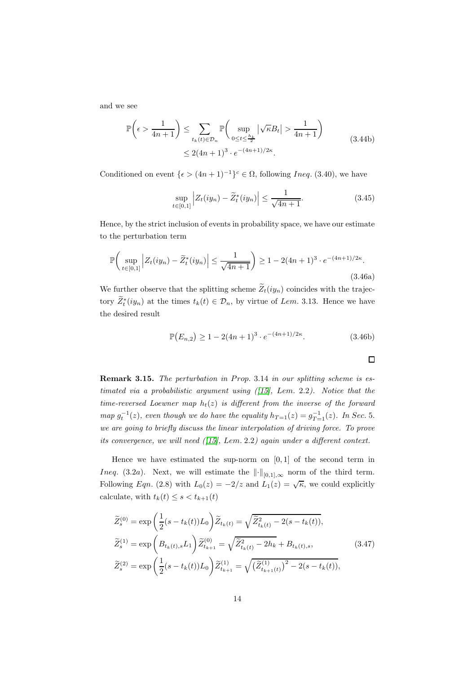and we see

$$
\mathbb{P}\left(\epsilon > \frac{1}{4n+1}\right) \le \sum_{t_k(t) \in \mathcal{D}_n} \mathbb{P}\left(\sup_{0 \le t \le \frac{h_k}{2}} |\sqrt{\kappa}B_t| > \frac{1}{4n+1}\right)
$$
\n
$$
\le 2(4n+1)^3 \cdot e^{-(4n+1)/2\kappa}.\tag{3.44b}
$$

Conditioned on event  $\{\epsilon > (4n+1)^{-1}\}^c \in \Omega$ , following *Ineq.* (3.40), we have

$$
\sup_{t \in [0,1]} \left| Z_t(iy_n) - \widetilde{Z}_t^*(iy_n) \right| \le \frac{1}{\sqrt{4n+1}}.
$$
\n(3.45)

Hence, by the strict inclusion of events in probability space, we have our estimate to the perturbation term

$$
\mathbb{P}\left(\sup_{t\in[0,1]} \left| Z_t(iy_n) - \tilde{Z}_t^*(iy_n) \right| \le \frac{1}{\sqrt{4n+1}} \right) \ge 1 - 2(4n+1)^3 \cdot e^{-(4n+1)/2\kappa}.
$$
\n(3.46a)

We further observe that the splitting scheme  $\widetilde{Z}_t(iy_n)$  coincides with the trajectory  $Z_t^*(iy_n)$  at the times  $t_k(t) \in \mathcal{D}_n$ , by virtue of Lem. 3.13. Hence we have the desired result

$$
\mathbb{P}(E_{n,2}) \ge 1 - 2(4n+1)^3 \cdot e^{-(4n+1)/2\kappa}.\tag{3.46b}
$$

 $\Box$ 

Remark 3.15. The perturbation in Prop. 3.14 in our splitting scheme is estimated via a probabilistic argument using  $(115)$ , Lem. 2.2). Notice that the time-reversed Loewner map  $h_t(z)$  is different from the inverse of the forward map  $g_t^{-1}(z)$ , even though we do have the equality  $h_{T=1}(z) = g_{T=1}^{-1}(z)$ . In Sec. 5. we are going to briefly discuss the linear interpolation of driving force. To prove its convergence, we will need ([\[15\]](#page-24-8), Lem. 2.2) again under a different context.

Hence we have estimated the sup-norm on  $[0, 1]$  of the second term in Ineq. (3.2a). Next, we will estimate the  $\lVert \cdot \rVert_{[0,1],\infty}$  norm of the third term. Following Eqn. (2.8) with  $L_0(z) = -2/z$  and  $\overline{L_1(z)} = \sqrt{\kappa}$ , we could explicitly calculate, with  $t_k(t) \leq s < t_{k+1}(t)$ 

$$
\widetilde{Z}_{s}^{(0)} = \exp\left(\frac{1}{2}(s - t_{k}(t))L_{0}\right)\widetilde{Z}_{t_{k}(t)} = \sqrt{\widetilde{Z}_{t_{k}(t)}^{2} - 2(s - t_{k}(t))},
$$
\n
$$
\widetilde{Z}_{s}^{(1)} = \exp\left(B_{t_{k}(t),s}L_{1}\right)\widetilde{Z}_{t_{k+1}}^{(0)} = \sqrt{\widetilde{Z}_{t_{k}(t)}^{2} - 2h_{k}} + B_{t_{k}(t),s},
$$
\n
$$
\widetilde{Z}_{s}^{(2)} = \exp\left(\frac{1}{2}(s - t_{k}(t))L_{0}\right)\widetilde{Z}_{t_{k+1}}^{(1)} = \sqrt{\left(\widetilde{Z}_{t_{k+1}(t)}^{(1)}\right)^{2} - 2(s - t_{k}(t))},
$$
\n(3.47)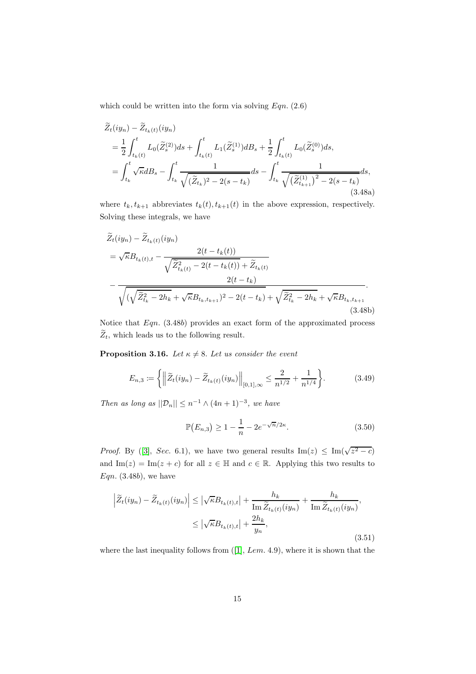which could be written into the form via solving  $Eqn. (2.6)$ 

$$
\widetilde{Z}_{t}(iy_{n}) - \widetilde{Z}_{t_{k}(t)}(iy_{n})
$$
\n
$$
= \frac{1}{2} \int_{t_{k}(t)}^{t} L_{0}(\widetilde{Z}_{s}^{(2)})ds + \int_{t_{k}(t)}^{t} L_{1}(\widetilde{Z}_{s}^{(1)})dB_{s} + \frac{1}{2} \int_{t_{k}(t)}^{t} L_{0}(\widetilde{Z}_{s}^{(0)})ds,
$$
\n
$$
= \int_{t_{k}}^{t} \sqrt{\kappa}dB_{s} - \int_{t_{k}}^{t} \frac{1}{\sqrt{(\widetilde{Z}_{t_{k}})^{2} - 2(s - t_{k})}}ds - \int_{t_{k}}^{t} \frac{1}{\sqrt{(\widetilde{Z}_{t_{k+1}}^{(1)})^{2} - 2(s - t_{k})}}ds,
$$
\n(3.48a)

where  $t_k, t_{k+1}$  abbreviates  $t_k(t), t_{k+1}(t)$  in the above expression, respectively. Solving these integrals, we have

$$
\widetilde{Z}_{t}(iy_{n}) - \widetilde{Z}_{t_{k}(t)}(iy_{n})
$$
\n
$$
= \sqrt{\kappa}B_{t_{k}(t),t} - \frac{2(t - t_{k}(t))}{\sqrt{\widetilde{Z}_{t_{k}(t)}^{2} - 2(t - t_{k}(t))} + \widetilde{Z}_{t_{k}(t)}} - \frac{2(t - t_{k})}{\sqrt{(\sqrt{\widetilde{Z}_{t_{k}}^{2} - 2h_{k} + \sqrt{\kappa}B_{t_{k},t_{k+1}})^{2} - 2(t - t_{k})} + \sqrt{\widetilde{Z}_{t_{k}}^{2} - 2h_{k} + \sqrt{\kappa}B_{t_{k},t_{k+1}}}}
$$
\n(3.48b)

Notice that  $Eqn. (3.48b)$  provides an exact form of the approximated process  $\widetilde{Z}_t$ , which leads us to the following result.

**Proposition 3.16.** Let  $\kappa \neq 8$ . Let us consider the event

$$
E_{n,3} := \left\{ \left\| \widetilde{Z}_t(iy_n) - \widetilde{Z}_{t_k(t)}(iy_n) \right\|_{[0,1],\infty} \le \frac{2}{n^{1/2}} + \frac{1}{n^{1/4}} \right\}.
$$
 (3.49)

Then as long as  $||\mathcal{D}_n|| \leq n^{-1} \wedge (4n+1)^{-3}$ , we have

$$
\mathbb{P}(E_{n,3}) \ge 1 - \frac{1}{n} - 2e^{-\sqrt{n}/2\kappa}.
$$
 (3.50)

*Proof.*By ([\[3\]](#page-24-4), Sec. 6.1), we have two general results  $\text{Im}(z) \leq \text{Im}(\sqrt{z^2 - c})$ and Im(z) = Im(z + c) for all  $z \in \mathbb{H}$  and  $c \in \mathbb{R}$ . Applying this two results to  $Eqn.$  (3.48b), we have

$$
\left| \widetilde{Z}_{t}(iy_{n}) - \widetilde{Z}_{t_{k}(t)}(iy_{n}) \right| \leq \left| \sqrt{\kappa} B_{t_{k}(t),t} \right| + \frac{h_{k}}{\operatorname{Im} \widetilde{Z}_{t_{k}(t)}(iy_{n})} + \frac{h_{k}}{\operatorname{Im} \widetilde{Z}_{t_{k}(t)}(iy_{n})},
$$
  

$$
\leq \left| \sqrt{\kappa} B_{t_{k}(t),t} \right| + \frac{2h_{k}}{y_{n}},
$$
\n(3.51)

wherethe last inequality follows from  $(1, Lem. 4.9)$ , where it is shown that the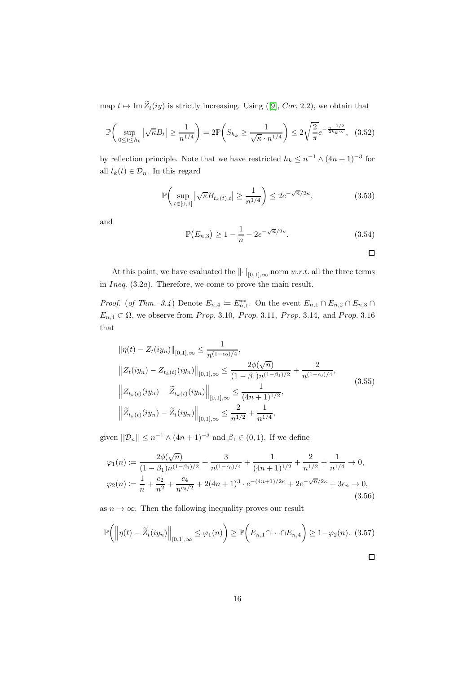map $t \mapsto \text{Im }\widetilde{Z}_t(iy)$  is strictly increasing. Using ([\[9\]](#page-24-9), Cor. 2.2), we obtain that

$$
\mathbb{P}\bigg(\sup_{0\leq t\leq h_k} |\sqrt{\kappa}B_t| \geq \frac{1}{n^{1/4}}\bigg) = 2\mathbb{P}\bigg(S_{h_k} \geq \frac{1}{\sqrt{\kappa} \cdot n^{1/4}}\bigg) \leq 2\sqrt{\frac{2}{\pi}} e^{-\frac{n^{-1/2}}{2h_k \cdot \kappa}}, \quad (3.52)
$$

by reflection principle. Note that we have restricted  $h_k \leq n^{-1} \wedge (4n+1)^{-3}$  for all  $t_k(t) \in \mathcal{D}_n$ . In this regard

$$
\mathbb{P}\bigg(\sup_{t\in[0,1]} \left|\sqrt{\kappa}B_{t_k(t),t}\right| \ge \frac{1}{n^{1/4}}\bigg) \le 2e^{-\sqrt{n}/2\kappa},\tag{3.53}
$$

and

$$
\mathbb{P}(E_{n,3}) \ge 1 - \frac{1}{n} - 2e^{-\sqrt{n}/2\kappa}.
$$
 (3.54)

 $\Box$ 

At this point, we have evaluated the  $\lVert \cdot \rVert_{[0,1],\infty}$  norm w.r.t. all the three terms in Ineq. (3.2a). Therefore, we come to prove the main result.

*Proof.* (of Thm. 3.4) Denote  $E_{n,4} := E_{n,1}^{**}$ . On the event  $E_{n,1} \cap E_{n,2} \cap E_{n,3} \cap E_{n,4}$  $E_{n,4} \subset \Omega$ , we observe from Prop. 3.10, Prop. 3.11, Prop. 3.14, and Prop. 3.16 that

$$
\|\eta(t) - Z_t(iy_n)\|_{[0,1],\infty} \le \frac{1}{n^{(1-\epsilon_0)/4}},
$$
  

$$
\|Z_t(iy_n) - Z_{t_k(t)}(iy_n)\|_{[0,1],\infty} \le \frac{2\phi(\sqrt{n})}{(1-\beta_1)n^{(1-\beta_1)/2}} + \frac{2}{n^{(1-\epsilon_0)/4}},
$$
  

$$
\left\|Z_{t_k(t)}(iy_n) - \tilde{Z}_{t_k(t)}(iy_n)\right\|_{[0,1],\infty} \le \frac{1}{(4n+1)^{1/2}},
$$
  

$$
\left\|\tilde{Z}_{t_k(t)}(iy_n) - \tilde{Z}_t(iy_n)\right\|_{[0,1],\infty} \le \frac{2}{n^{1/2}} + \frac{1}{n^{1/4}},
$$
 (3.55)

given  $||\mathcal{D}_n|| \leq n^{-1} \wedge (4n+1)^{-3}$  and  $\beta_1 \in (0,1)$ . If we define

$$
\varphi_1(n) := \frac{2\phi(\sqrt{n})}{(1-\beta_1)n^{(1-\beta_1)/2}} + \frac{3}{n^{(1-\epsilon_0)/4}} + \frac{1}{(4n+1)^{1/2}} + \frac{2}{n^{1/2}} + \frac{1}{n^{1/4}} \to 0,
$$
  

$$
\varphi_2(n) := \frac{1}{n} + \frac{c_2}{n^2} + \frac{c_4}{n^{c_3/2}} + 2(4n+1)^3 \cdot e^{-(4n+1)/2\kappa} + 2e^{-\sqrt{n}/2\kappa} + 3\epsilon_n \to 0,
$$
(3.56)

as  $n \to \infty$ . Then the following inequality proves our result

$$
\mathbb{P}\bigg(\bigg\|\eta(t) - \widetilde{Z}_t(iy_n)\bigg\|_{[0,1],\infty} \leq \varphi_1(n)\bigg) \geq \mathbb{P}\bigg(E_{n,1} \cap \dots \cap E_{n,4}\bigg) \geq 1 - \varphi_2(n). \tag{3.57}
$$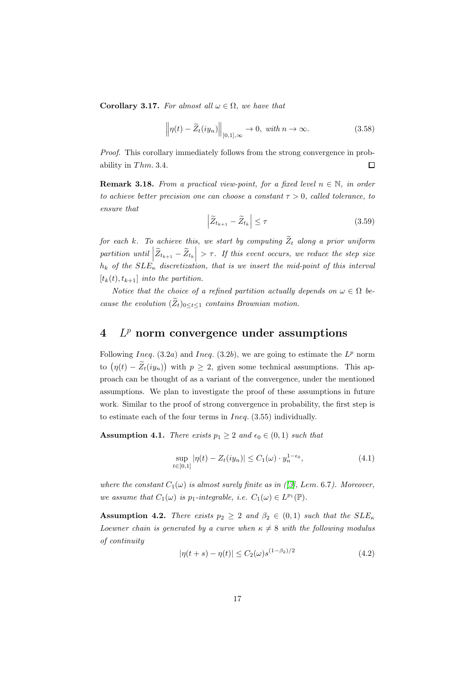Corollary 3.17. For almost all  $\omega \in \Omega$ , we have that

$$
\left\|\eta(t) - \widetilde{Z}_t(iy_n)\right\|_{[0,1],\infty} \to 0, \text{ with } n \to \infty.
$$
 (3.58)

Proof. This corollary immediately follows from the strong convergence in probability in  $Thm. 3.4$ .  $\Box$ 

**Remark 3.18.** From a practical view-point, for a fixed level  $n \in \mathbb{N}$ , in order to achieve better precision one can choose a constant  $\tau > 0$ , called tolerance, to ensure that

$$
\left| \widetilde{Z}_{t_{k+1}} - \widetilde{Z}_{t_k} \right| \leq \tau \tag{3.59}
$$

for each k. To achieve this, we start by computing  $\widetilde{Z}_t$  along a prior uniform partition until  $|\widetilde{Z}_{t_{k+1}} - \widetilde{Z}_{t_k}| > \tau$ . If this event occurs, we reduce the step size  $h_k$  of the  $SLE_{\kappa}$  discretization, that is we insert the mid-point of this interval  $[t_k(t), t_{k+1}]$  into the partition.

Notice that the choice of a refined partition actually depends on  $\omega \in \Omega$  because the evolution  $(\widetilde{Z}_t)_{0 \leq t \leq 1}$  contains Brownian motion.

# $4$   $L^p$  norm convergence under assumptions

Following Ineq.  $(3.2a)$  and Ineq.  $(3.2b)$ , we are going to estimate the  $L^p$  norm to  $(\eta(t) - \tilde{Z}_t(iy_n))$  with  $p \geq 2$ , given some technical assumptions. This approach can be thought of as a variant of the convergence, under the mentioned assumptions. We plan to investigate the proof of these assumptions in future work. Similar to the proof of strong convergence in probability, the first step is to estimate each of the four terms in  $Ineq. (3.55)$  individually.

**Assumption 4.1.** There exists  $p_1 \geq 2$  and  $\epsilon_0 \in (0, 1)$  such that

$$
\sup_{t \in [0,1]} |\eta(t) - Z_t(iy_n)| \le C_1(\omega) \cdot y_n^{1-\epsilon_0},\tag{4.1}
$$

where the constant  $C_1(\omega)$  is almost surely finite as in ([\[3\]](#page-24-4), Lem. 6.7). Moreover, we assume that  $C_1(\omega)$  is  $p_1$ -integrable, i.e.  $C_1(\omega) \in L^{p_1}(\mathbb{P})$ .

**Assumption 4.2.** There exists  $p_2 \geq 2$  and  $\beta_2 \in (0,1)$  such that the  $SLE_{\kappa}$ Loewner chain is generated by a curve when  $\kappa \neq 8$  with the following modulus of continuity

$$
|\eta(t+s) - \eta(t)| \le C_2(\omega) s^{(1-\beta_2)/2}
$$
\n(4.2)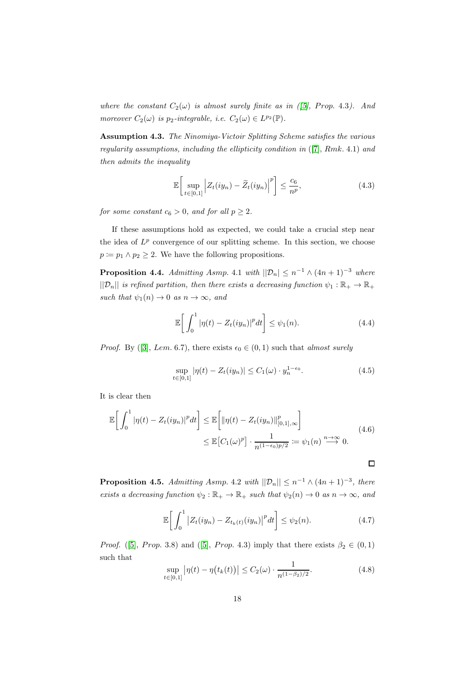where the constant  $C_2(\omega)$  is almost surely finite as in ([\[5\]](#page-24-10), Prop. 4.3). And moreover  $C_2(\omega)$  is  $p_2$ -integrable, i.e.  $C_2(\omega) \in L^{p_2}(\mathbb{P})$ .

Assumption 4.3. The Ninomiya-Victoir Splitting Scheme satisfies the various regularity assumptions, including the ellipticity condition in  $([7], Rmk. 4.1)$  $([7], Rmk. 4.1)$  $([7], Rmk. 4.1)$  and then admits the inequality

$$
\mathbb{E}\bigg[\sup_{t\in[0,1]}\Big|Z_t(iy_n)-\widetilde{Z}_t(iy_n)\Big|^p\bigg]\leq\frac{c_6}{n^p},\tag{4.3}
$$

for some constant  $c_6 > 0$ , and for all  $p \geq 2$ .

If these assumptions hold as expected, we could take a crucial step near the idea of  $L^p$  convergence of our splitting scheme. In this section, we choose  $p \coloneqq p_1 \land p_2 \geq 2$ . We have the following propositions.

**Proposition 4.4.** Admitting Asmp. 4.1 with  $||\mathcal{D}_n|| \leq n^{-1} \wedge (4n+1)^{-3}$  where  $||\mathcal{D}_n||$  is refined partition, then there exists a decreasing function  $\psi_1 : \mathbb{R}_+ \to \mathbb{R}_+$ such that  $\psi_1(n) \to 0$  as  $n \to \infty$ , and

$$
\mathbb{E}\bigg[\int_0^1 |\eta(t) - Z_t(iy_n)|^p dt\bigg] \leq \psi_1(n). \tag{4.4}
$$

*Proof.*By ([\[3\]](#page-24-4), Lem. 6.7), there exists  $\epsilon_0 \in (0, 1)$  such that almost surely

$$
\sup_{t \in [0,1]} |\eta(t) - Z_t(iy_n)| \le C_1(\omega) \cdot y_n^{1-\epsilon_0}.
$$
\n(4.5)

It is clear then

$$
\mathbb{E}\left[\int_0^1 |\eta(t) - Z_t(iy_n)|^p dt\right] \le \mathbb{E}\left[\|\eta(t) - Z_t(iy_n)\|_{[0,1],\infty}^p\right]
$$
  

$$
\le \mathbb{E}\left[C_1(\omega)^p\right] \cdot \frac{1}{n^{(1-\epsilon_0)p/2}} \coloneqq \psi_1(n) \stackrel{n \to \infty}{\longrightarrow} 0.
$$
 (4.6)

 $\Box$ 

**Proposition 4.5.** Admitting Asmp. 4.2 with  $||\mathcal{D}_n|| \leq n^{-1} \wedge (4n+1)^{-3}$ , there exists a decreasing function  $\psi_2 : \mathbb{R}_+ \to \mathbb{R}_+$  such that  $\psi_2(n) \to 0$  as  $n \to \infty$ , and

$$
\mathbb{E}\bigg[\int_0^1 \big|Z_t(iy_n) - Z_{t_k(t)}(iy_n)\big|^p dt\bigg] \leq \psi_2(n). \tag{4.7}
$$

*Proof.* ([\[5\]](#page-24-10),*Prop.* 3.8) and ([5], *Prop.* 4.3) imply that there exists  $\beta_2 \in (0,1)$ such that

$$
\sup_{t \in [0,1]} |\eta(t) - \eta(t_k(t))| \le C_2(\omega) \cdot \frac{1}{n^{(1-\beta_2)/2}}.\tag{4.8}
$$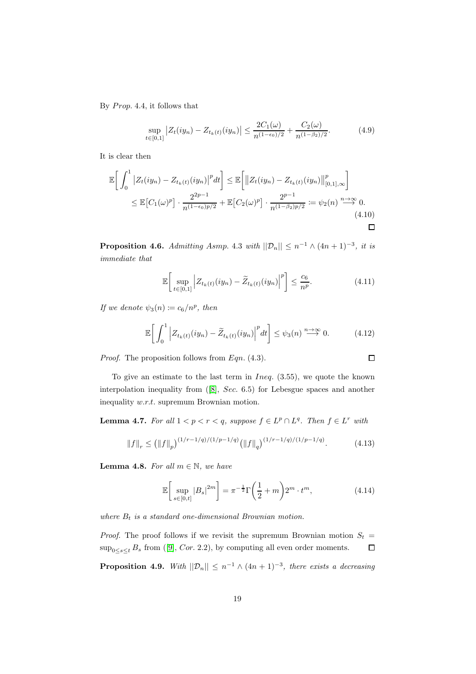By  $Prop. 4.4$ , it follows that

$$
\sup_{t \in [0,1]} |Z_t(iy_n) - Z_{t_k(t)}(iy_n)| \le \frac{2C_1(\omega)}{n^{(1-\epsilon_0)/2}} + \frac{C_2(\omega)}{n^{(1-\beta_2)/2}}.\tag{4.9}
$$

It is clear then

$$
\mathbb{E}\bigg[\int_0^1 \left| Z_t(iy_n) - Z_{t_k(t)}(iy_n) \right|^p dt \bigg] \leq \mathbb{E}\bigg[\big\| Z_t(iy_n) - Z_{t_k(t)}(iy_n) \big\|_{[0,1],\infty}^p \bigg] \leq \mathbb{E}\big[C_1(\omega)^p\big] \cdot \frac{2^{2p-1}}{n^{(1-\epsilon_0)p/2}} + \mathbb{E}\big[C_2(\omega)^p\big] \cdot \frac{2^{p-1}}{n^{(1-\beta_2)p/2}} \coloneqq \psi_2(n) \stackrel{n \to \infty}{\longrightarrow} 0. \tag{4.10}
$$

**Proposition 4.6.** Admitting Asmp. 4.3 with  $||\mathcal{D}_n|| \leq n^{-1} \wedge (4n+1)^{-3}$ , it is immediate that

$$
\mathbb{E}\bigg[\sup_{t\in[0,1]}\Big|Z_{t_k(t)}(iy_n)-\widetilde{Z}_{t_k(t)}(iy_n)\Big|^p\bigg]\leq \frac{c_6}{n^p}.\tag{4.11}
$$

If we denote  $\psi_3(n) := c_6/n^p$ , then

$$
\mathbb{E}\bigg[\int_0^1 \bigg| Z_{t_k(t)}(iy_n) - \widetilde{Z}_{t_k(t)}(iy_n) \bigg|^p dt \bigg] \leq \psi_3(n) \stackrel{n \to \infty}{\longrightarrow} 0. \tag{4.12}
$$

Proof. The proposition follows from Eqn. (4.3).

To give an estimate to the last term in  $Ineq. (3.55)$ , we quote the known interpolation inequality from([\[8\]](#page-24-12), Sec. 6.5) for Lebesgue spaces and another inequality w.r.t. supremum Brownian motion.

**Lemma 4.7.** For all  $1 < p < r < q$ , suppose  $f \in L^p \cap L^q$ . Then  $f \in L^r$  with

$$
||f||_{r} \le (||f||_{p})^{(1/r - 1/q)/(1/p - 1/q)} (||f||_{q})^{(1/r - 1/q)/(1/p - 1/q)}.
$$
 (4.13)

**Lemma 4.8.** For all  $m \in \mathbb{N}$ , we have

$$
\mathbb{E}\left[\sup_{s\in[0,t]}|B_s|^{2m}\right] = \pi^{-\frac{1}{2}}\Gamma\left(\frac{1}{2}+m\right)2^m \cdot t^m,\tag{4.14}
$$

where  $B_t$  is a standard one-dimensional Brownian motion.

*Proof.* The proof follows if we revisit the supremum Brownian motion  $S_t$  $\sup_{0 \le s \le t} B_s$  $\sup_{0 \le s \le t} B_s$  $\sup_{0 \le s \le t} B_s$  from ([\[9\]](#page-24-9), *Cor.* 2.2), by computing all even order moments.  $\Box$ 

**Proposition 4.9.** With  $||\mathcal{D}_n|| \leq n^{-1} \wedge (4n+1)^{-3}$ , there exists a decreasing

$$
\overline{}
$$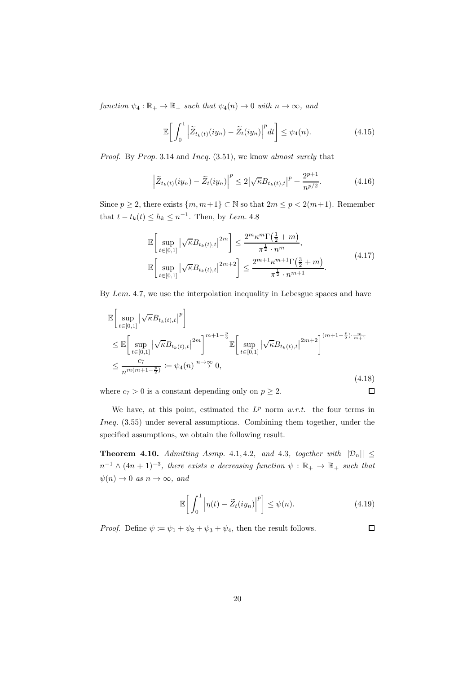function  $\psi_4 : \mathbb{R}_+ \to \mathbb{R}_+$  such that  $\psi_4(n) \to 0$  with  $n \to \infty$ , and

$$
\mathbb{E}\bigg[\int_0^1 \left|\widetilde{Z}_{t_k(t)}(iy_n) - \widetilde{Z}_t(iy_n)\right|^p dt\bigg] \leq \psi_4(n). \tag{4.15}
$$

*Proof.* By Prop. 3.14 and Ineq.  $(3.51)$ , we know almost surely that

$$
\left|\widetilde{Z}_{t_k(t)}(iy_n) - \widetilde{Z}_t(iy_n)\right|^p \le 2\left|\sqrt{\kappa}B_{t_k(t),t}\right|^p + \frac{2^{p+1}}{n^{p/2}}.\tag{4.16}
$$

Since  $p \ge 2$ , there exists  $\{m, m+1\} \subset \mathbb{N}$  so that  $2m \le p < 2(m+1)$ . Remember that  $t - t_k(t) \leq h_k \leq n^{-1}$ . Then, by Lem. 4.8

$$
\mathbb{E}\left[\sup_{t\in[0,1]}|\sqrt{\kappa}B_{t_k(t),t}|^{2m}\right] \leq \frac{2^m\kappa^m\Gamma(\frac{1}{2}+m)}{\pi^{\frac{1}{2}}\cdot n^m},
$$
\n
$$
\mathbb{E}\left[\sup_{t\in[0,1]}|\sqrt{\kappa}B_{t_k(t),t}|^{2m+2}\right] \leq \frac{2^{m+1}\kappa^{m+1}\Gamma(\frac{3}{2}+m)}{\pi^{\frac{1}{2}}\cdot n^{m+1}}.
$$
\n(4.17)

By Lem. 4.7, we use the interpolation inequality in Lebesgue spaces and have

$$
\mathbb{E}\left[\sup_{t\in[0,1]} |\sqrt{\kappa}B_{t_k(t),t}|^p\right] \n\leq \mathbb{E}\left[\sup_{t\in[0,1]} |\sqrt{\kappa}B_{t_k(t),t}|^{2m}\right]^{m+1-\frac{p}{2}} \mathbb{E}\left[\sup_{t\in[0,1]} |\sqrt{\kappa}B_{t_k(t),t}|^{2m+2}\right]^{(m+1-\frac{p}{2})\cdot\frac{m}{m+1}} \n\leq \frac{c_7}{n^{m(m+1-\frac{p}{2})}} := \psi_4(n)^{\frac{n\to\infty}{2}} 0,
$$
\n(4.18)

where  $c_7 > 0$  is a constant depending only on  $p \geq 2$ .

We have, at this point, estimated the  $L^p$  norm  $w.r.t.$  the four terms in Ineq. (3.55) under several assumptions. Combining them together, under the specified assumptions, we obtain the following result.

**Theorem 4.10.** Admitting Asmp. 4.1, 4.2, and 4.3, together with  $||\mathcal{D}_n|| \le$  $n^{-1} \wedge (4n+1)^{-3}$ , there exists a decreasing function  $\psi : \mathbb{R}_+ \to \mathbb{R}_+$  such that  $\psi(n) \to 0$  as  $n \to \infty$ , and

$$
\mathbb{E}\bigg[\int_0^1 \bigg|\eta(t) - \widetilde{Z}_t(iy_n)\bigg|^p\bigg] \leq \psi(n). \tag{4.19}
$$

*Proof.* Define  $\psi := \psi_1 + \psi_2 + \psi_3 + \psi_4$ , then the result follows.

 $\Box$ 

 $\Box$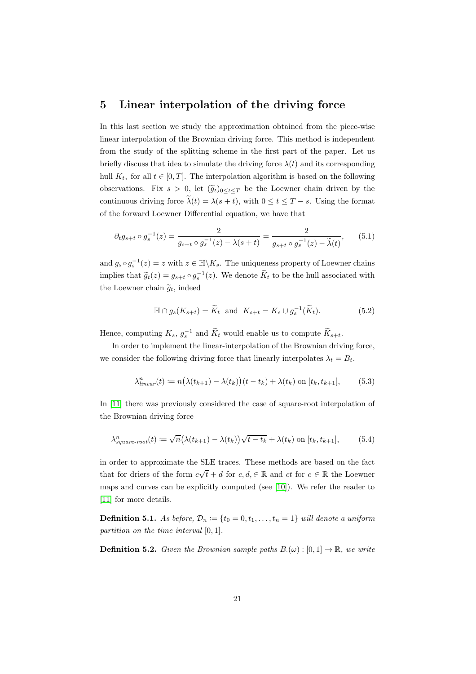### 5 Linear interpolation of the driving force

In this last section we study the approximation obtained from the piece-wise linear interpolation of the Brownian driving force. This method is independent from the study of the splitting scheme in the first part of the paper. Let us briefly discuss that idea to simulate the driving force  $\lambda(t)$  and its corresponding hull  $K_t$ , for all  $t \in [0, T]$ . The interpolation algorithm is based on the following observations. Fix  $s > 0$ , let  $(\widetilde{g}_t)_{0 \leq t \leq T}$  be the Loewner chain driven by the continuous driving force  $\tilde{\lambda}(t) = \lambda(s+t)$ , with  $0 \le t \le T-s$ . Using the format of the forward Loewner Differential equation, we have that

$$
\partial_t g_{s+t} \circ g_s^{-1}(z) = \frac{2}{g_{s+t} \circ g_s^{-1}(z) - \lambda(s+t)} = \frac{2}{g_{s+t} \circ g_s^{-1}(z) - \tilde{\lambda}(t)},\tag{5.1}
$$

and  $g_s \circ g_s^{-1}(z) = z$  with  $z \in \mathbb{H} \backslash K_s$ . The uniqueness property of Loewner chains implies that  $\widetilde{g}_t(z) = g_{s+t} \circ g_s^{-1}(z)$ . We denote  $K_t$  to be the hull associated with the Loewner chain  $\tilde{g}_t$ , indeed

$$
\mathbb{H} \cap g_s(K_{s+t}) = \widetilde{K}_t \text{ and } K_{s+t} = K_s \cup g_s^{-1}(\widetilde{K}_t). \tag{5.2}
$$

Hence, computing  $K_s$ ,  $g_s^{-1}$  and  $K_t$  would enable us to compute  $K_{s+t}$ .

In order to implement the linear-interpolation of the Brownian driving force, we consider the following driving force that linearly interpolates  $\lambda_t = B_t$ .

$$
\lambda_{linear}^n(t) := n\big(\lambda(t_{k+1}) - \lambda(t_k)\big)(t - t_k) + \lambda(t_k) \text{ on } [t_k, t_{k+1}],\tag{5.3}
$$

In [\[11\]](#page-24-5) there was previously considered the case of square-root interpolation of the Brownian driving force

$$
\lambda_{square-root}^n(t) := \sqrt{n} \big(\lambda(t_{k+1}) - \lambda(t_k)\big) \sqrt{t - t_k} + \lambda(t_k) \text{ on } [t_k, t_{k+1}],\tag{5.4}
$$

in order to approximate the SLE traces. These methods are based on the fact that for driers of the form  $c\sqrt{t} + d$  for  $c, d \in \mathbb{R}$  and  $ct$  for  $c \in \mathbb{R}$  the Loewner maps and curves can be explicitly computed (see [\[10\]](#page-24-7)). We refer the reader to [\[11\]](#page-24-5) for more details.

**Definition 5.1.** As before,  $\mathcal{D}_n \coloneqq \{t_0 = 0, t_1, \ldots, t_n = 1\}$  will denote a uniform partition on the time interval [0, 1].

**Definition 5.2.** Given the Brownian sample paths  $B(\omega): [0,1] \to \mathbb{R}$ , we write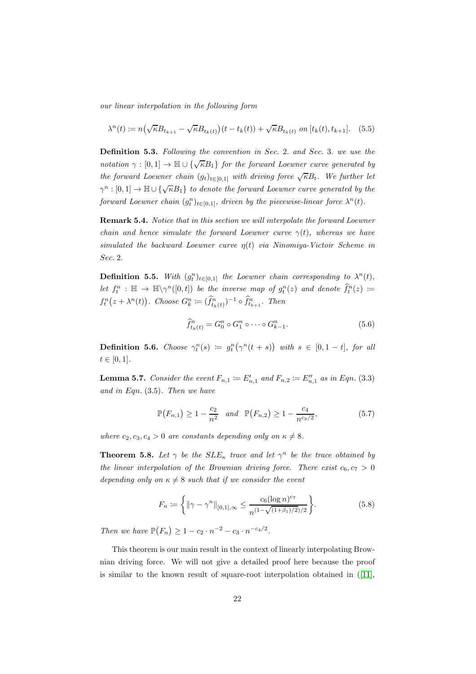our linear interpolation in the following form

$$
\lambda^{n}(t) := n\left(\sqrt{\kappa}B_{t_{k+1}} - \sqrt{\kappa}B_{t_{k}(t)}\right)(t - t_{k}(t)) + \sqrt{\kappa}B_{t_{k}(t)} \text{ on } [t_{k}(t), t_{k+1}]. \tag{5.5}
$$

Definition 5.3. Following the convention in Sec. 2. and Sec. 3. we use the notation  $\gamma : [0,1] \to \mathbb{H} \cup {\{\sqrt{\kappa}B_1\}}$  for the forward Loewner curve generated by the forward Loewner chain  $(g_t)_{t\in[0,1]}$  with driving force  $\sqrt{\kappa}B_t$ . We further let  $\gamma^n : [0,1] \to \mathbb{H} \cup {\{\sqrt{\kappa}B_1\}}$  to denote the forward Loewner curve generated by the forward Loewner chain  $(g_t^n)_{t \in [0,1]}$ , driven by the piecewise-linear force  $\lambda^n(t)$ .

Remark 5.4. Notice that in this section we will interpolate the forward Loewner chain and hence simulate the forward Loewner curve  $\gamma(t)$ , whereas we have simulated the backward Loewner curve  $\eta(t)$  via Ninomiya-Victoir Scheme in Sec. 2.

**Definition 5.5.** With  $(g_t^n)_{t \in [0,1]}$  the Loewner chain corresponding to  $\lambda^n(t)$ , Let  $f_t^n : \mathbb{H} \to \mathbb{H} \setminus \gamma^n([0, t])$  be the inverse map of  $g_t^n(z)$  and denote  $\widehat{f}_t^n(z) :=$  $f_t^n(z + \lambda^n(t))$ . Choose  $G_k^n := (\widehat{f}_{t_k(t)}^n)^{-1} \circ \widehat{f}_{t_{k+1}}^n$ . Then

$$
\hat{f}_{t_k(t)}^n = G_0^n \circ G_1^n \circ \cdots \circ G_{k-1}^n.
$$
\n(5.6)

**Definition 5.6.** Choose  $\gamma_t^n(s) := g_t^n(\gamma^n(t+s))$  with  $s \in [0, 1-t]$ , for all  $t \in [0, 1].$ 

**Lemma 5.7.** Consider the event  $F_{n,1} \coloneqq E'_{n,1}$  and  $F_{n,2} \coloneqq E''_{n,1}$  as in Eqn. (3.3) and in Eqn.  $(3.5)$ . Then we have

$$
\mathbb{P}(F_{n,1}) \ge 1 - \frac{c_2}{n^2} \quad and \quad \mathbb{P}(F_{n,2}) \ge 1 - \frac{c_4}{n^{c_3/2}},\tag{5.7}
$$

where  $c_2, c_3, c_4 > 0$  are constants depending only on  $\kappa \neq 8$ .

**Theorem 5.8.** Let  $\gamma$  be the  $SLE_{\kappa}$  trace and let  $\gamma^{n}$  be the trace obtained by the linear interpolation of the Brownian driving force. There exist  $c_6, c_7 > 0$ depending only on  $\kappa \neq 8$  such that if we consider the event

$$
F_n := \left\{ \left\| \gamma - \gamma^n \right\|_{[0,1],\infty} \le \frac{c_6 (\log n)^{c_7}}{n^{(1 - \sqrt{(1+\beta_1)/2})/2}} \right\}.
$$
 (5.8)

Then we have  $\mathbb{P}(F_n) \ge 1 - c_2 \cdot n^{-2} - c_3 \cdot n^{-c_4/2}$ .

This theorem is our main result in the context of linearly interpolating Brownian driving force. We will not give a detailed proof here because the proof is similar to the known result of square-root interpolation obtained in ([\[11\]](#page-24-5),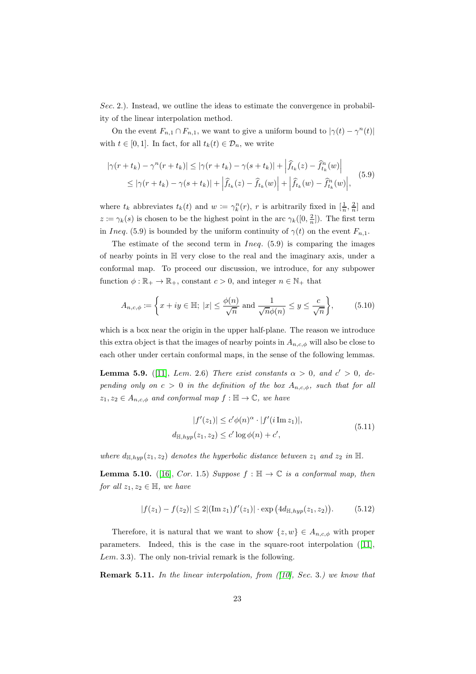Sec. 2.). Instead, we outline the ideas to estimate the convergence in probability of the linear interpolation method.

On the event  $F_{n,1} \cap F_{n,1}$ , we want to give a uniform bound to  $|\gamma(t) - \gamma^n(t)|$ with  $t \in [0, 1]$ . In fact, for all  $t_k(t) \in \mathcal{D}_n$ , we write

$$
|\gamma(r+t_k) - \gamma^n(r+t_k)| \le |\gamma(r+t_k) - \gamma(s+t_k)| + |\hat{f}_{t_k}(z) - \hat{f}_{t_k}^n(w)|
$$
  
\n
$$
\le |\gamma(r+t_k) - \gamma(s+t_k)| + |\hat{f}_{t_k}(z) - \hat{f}_{t_k}(w)| + |\hat{f}_{t_k}(w) - \hat{f}_{t_k}^n(w)|,
$$
\n(5.9)

where  $t_k$  abbreviates  $t_k(t)$  and  $w := \gamma_k^n(r)$ , r is arbitrarily fixed in  $[\frac{1}{n}, \frac{2}{n}]$  and  $z := \gamma_k(s)$  is chosen to be the highest point in the arc  $\gamma_k([0, \frac{2}{n}])$ . The first term in Ineq. (5.9) is bounded by the uniform continuity of  $\gamma(t)$  on the event  $F_{n,1}$ .

The estimate of the second term in  $Ineq. (5.9)$  is comparing the images of nearby points in H very close to the real and the imaginary axis, under a conformal map. To proceed our discussion, we introduce, for any subpower function  $\phi : \mathbb{R}_+ \to \mathbb{R}_+$ , constant  $c > 0$ , and integer  $n \in \mathbb{N}_+$  that

$$
A_{n,c,\phi} := \left\{ x + iy \in \mathbb{H}; \ |x| \le \frac{\phi(n)}{\sqrt{n}} \text{ and } \frac{1}{\sqrt{n}\phi(n)} \le y \le \frac{c}{\sqrt{n}} \right\},\tag{5.10}
$$

which is a box near the origin in the upper half-plane. The reason we introduce this extra object is that the images of nearby points in  $A_{n,c,\phi}$  will also be close to each other under certain conformal maps, in the sense of the following lemmas.

**Lemma 5.9.** ([\[11\]](#page-24-5), Lem. 2.6) There exist constants  $\alpha > 0$ , and  $c' > 0$ , depending only on  $c > 0$  in the definition of the box  $A_{n,c,\phi}$ , such that for all  $z_1, z_2 \in A_{n,c,\phi}$  and conformal map  $f : \mathbb{H} \to \mathbb{C}$ , we have

$$
|f'(z_1)| \le c'\phi(n)^\alpha \cdot |f'(i\operatorname{Im} z_1)|,
$$
  

$$
d_{\mathbb{H}, hyp}(z_1, z_2) \le c'\log\phi(n) + c',
$$
\n
$$
(5.11)
$$

where  $d_{\mathbb{H},hyp}(z_1, z_2)$  denotes the hyperbolic distance between  $z_1$  and  $z_2$  in  $\mathbb{H}$ .

**Lemma 5.10.** ([\[16\]](#page-24-13), Cor. 1.5) Suppose  $f : \mathbb{H} \to \mathbb{C}$  is a conformal map, then for all  $z_1, z_2 \in \mathbb{H}$ , we have

$$
|f(z_1) - f(z_2)| \le 2|(\operatorname{Im} z_1)f'(z_1)| \cdot \exp(4d_{\mathbb{H}, hyp}(z_1, z_2)). \tag{5.12}
$$

Therefore, it is natural that we want to show  $\{z, w\} \in A_{n,c,\phi}$  with proper parameters. Indeed, this is the case in the square-root interpolation([\[11\]](#page-24-5),  $Lem. 3.3$ ). The only non-trivial remark is the following.

**Remark 5.11.** In the linear interpolation, from  $(10)$ , Sec. 3.) we know that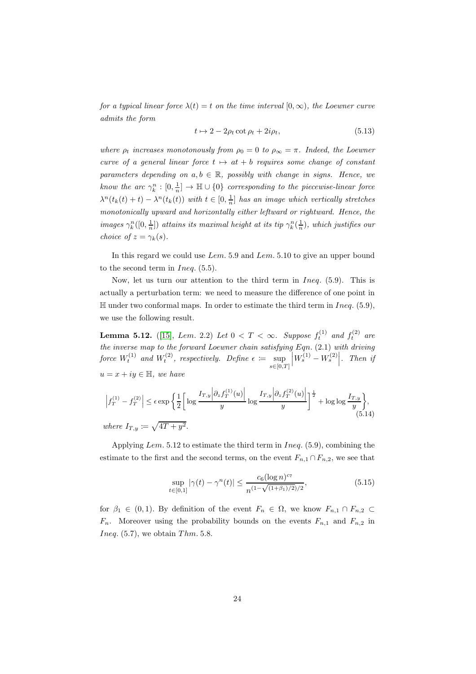for a typical linear force  $\lambda(t) = t$  on the time interval  $[0, \infty)$ , the Loewner curve admits the form

$$
t \mapsto 2 - 2\rho_t \cot \rho_t + 2i\rho_t, \tag{5.13}
$$

where  $\rho_t$  increases monotonously from  $\rho_0 = 0$  to  $\rho_\infty = \pi$ . Indeed, the Loewner curve of a general linear force  $t \mapsto at + b$  requires some change of constant parameters depending on  $a, b \in \mathbb{R}$ , possibly with change in signs. Hence, we know the arc  $\gamma_k^n : [0, \frac{1}{n}] \to \mathbb{H} \cup \{0\}$  corresponding to the piecewise-linear force  $\lambda^{n}(t_{k}(t) + t) - \lambda^{n}(t_{k}(t))$  with  $t \in [0, \frac{1}{n}]$  has an image which vertically stretches monotonically upward and horizontally either leftward or rightward. Hence, the images  $\gamma_k^n([0, \frac{1}{n}])$  attains its maximal height at its tip  $\gamma_k^n(\frac{1}{n})$ , which justifies our choice of  $z = \gamma_k(s)$ .

In this regard we could use Lem. 5.9 and Lem. 5.10 to give an upper bound to the second term in  $Ineq. (5.5)$ .

Now, let us turn our attention to the third term in Ineq. (5.9). This is actually a perturbation term: we need to measure the difference of one point in  $\mathbb H$  under two conformal maps. In order to estimate the third term in Ineq. (5.9), we use the following result.

**Lemma 5.12.** ([\[15\]](#page-24-8), Lem. 2.2) Let  $0 < T < \infty$ . Suppose  $f_t^{(1)}$  and  $f_t^{(2)}$  are the inverse map to the forward Loewner chain satisfying Eqn. (2.1) with driving force  $W_t^{(1)}$  and  $W_t^{(2)}$ , respectively. Define  $\epsilon := \sup$  $s \in [0,T]$  $\left|W_s^{(1)}-W_s^{(2)}\right|$ . Then if  $u = x + iy \in \mathbb{H}$ , we have

$$
\left|f_T^{(1)} - f_T^{(2)}\right| \le \epsilon \exp\left\{\frac{1}{2} \left[ \log \frac{I_{T,y} \left| \partial_z f_T^{(1)}(u) \right|}{y} \log \frac{I_{T,y} \left| \partial_z f_T^{(2)}(u) \right|}{y} \right]^{\frac{1}{2}} + \log \log \frac{I_{T,y}}{y} \right\},\tag{5.14}
$$
  
where  $I_{T,y} := \sqrt{4T + y^2}$ .

Applying Lem. 5.12 to estimate the third term in Ineq. (5.9), combining the estimate to the first and the second terms, on the event  $F_{n,1} \cap F_{n,2}$ , we see that

$$
\sup_{t \in [0,1]} |\gamma(t) - \gamma^{n}(t)| \le \frac{c_6 (\log n)^{c_7}}{n^{(1 - \sqrt{(1 + \beta_1)/2})/2}},\tag{5.15}
$$

for  $\beta_1 \in (0,1)$ . By definition of the event  $F_n \in \Omega$ , we know  $F_{n,1} \cap F_{n,2} \subset$  $F_n$ . Moreover using the probability bounds on the events  $F_{n,1}$  and  $F_{n,2}$  in *Ineq.*  $(5.7)$ , we obtain *Thm.* 5.8.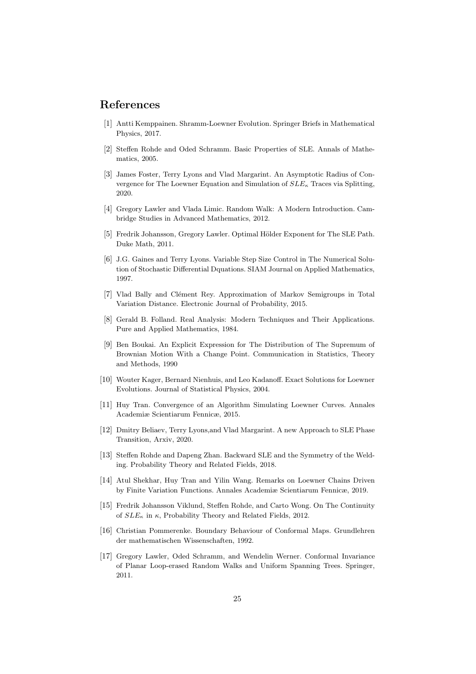# <span id="page-24-1"></span>References

- <span id="page-24-2"></span>[1] Antti Kemppainen. Shramm-Loewner Evolution. Springer Briefs in Mathematical Physics, 2017.
- <span id="page-24-4"></span>[2] Steffen Rohde and Oded Schramm. Basic Properties of SLE. Annals of Mathematics, 2005.
- [3] James Foster, Terry Lyons and Vlad Margarint. An Asymptotic Radius of Convergence for The Loewner Equation and Simulation of  $SLE_{\kappa}$  Traces via Splitting, 2020.
- <span id="page-24-10"></span><span id="page-24-6"></span>[4] Gregory Lawler and Vlada Limic. Random Walk: A Modern Introduction. Cambridge Studies in Advanced Mathematics, 2012.
- [5] Fredrik Johansson, Gregory Lawler, Optimal Hölder Exponent for The SLE Path. Duke Math, 2011.
- [6] J.G. Gaines and Terry Lyons. Variable Step Size Control in The Numerical Solution of Stochastic Differential Dquations. SIAM Journal on Applied Mathematics, 1997.
- <span id="page-24-11"></span>[7] Vlad Bally and Clément Rey. Approximation of Markov Semigroups in Total Variation Distance. Electronic Journal of Probability, 2015.
- <span id="page-24-12"></span>[8] Gerald B. Folland. Real Analysis: Modern Techniques and Their Applications. Pure and Applied Mathematics, 1984.
- <span id="page-24-9"></span>[9] Ben Boukai. An Explicit Expression for The Distribution of The Supremum of Brownian Motion With a Change Point. Communication in Statistics, Theory and Methods, 1990
- <span id="page-24-7"></span><span id="page-24-5"></span>[10] Wouter Kager, Bernard Nienhuis, and Leo Kadanoff. Exact Solutions for Loewner Evolutions. Journal of Statistical Physics, 2004.
- [11] Huy Tran. Convergence of an Algorithm Simulating Loewner Curves. Annales Academiæ Scientiarum Fennicæ, 2015.
- [12] Dmitry Beliaev, Terry Lyons,and Vlad Margarint. A new Approach to SLE Phase Transition, Arxiv, 2020.
- <span id="page-24-3"></span>[13] Steffen Rohde and Dapeng Zhan. Backward SLE and the Symmetry of the Welding. Probability Theory and Related Fields, 2018.
- [14] Atul Shekhar, Huy Tran and Yilin Wang. Remarks on Loewner Chains Driven by Finite Variation Functions. Annales Academiæ Scientiarum Fennicæ, 2019.
- <span id="page-24-8"></span>[15] Fredrik Johansson Viklund, Steffen Rohde, and Carto Wong. On The Continuity of  $SLE_{\kappa}$  in  $\kappa$ , Probability Theory and Related Fields, 2012.
- <span id="page-24-13"></span>[16] Christian Pommerenke. Boundary Behaviour of Conformal Maps. Grundlehren der mathematischen Wissenschaften, 1992.
- <span id="page-24-0"></span>[17] Gregory Lawler, Oded Schramm, and Wendelin Werner. Conformal Invariance of Planar Loop-erased Random Walks and Uniform Spanning Trees. Springer, 2011.